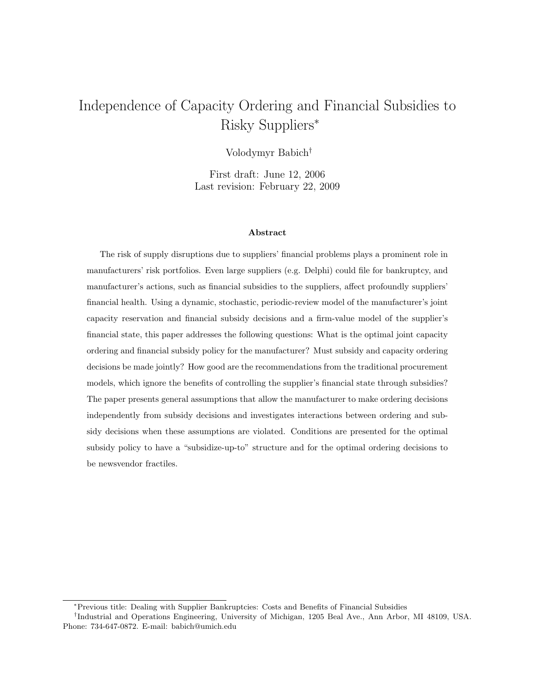# Independence of Capacity Ordering and Financial Subsidies to Risky Suppliers<sup>∗</sup>

Volodymyr Babich†

First draft: June 12, 2006 Last revision: February 22, 2009

#### Abstract

The risk of supply disruptions due to suppliers' financial problems plays a prominent role in manufacturers' risk portfolios. Even large suppliers (e.g. Delphi) could file for bankruptcy, and manufacturer's actions, such as financial subsidies to the suppliers, affect profoundly suppliers' financial health. Using a dynamic, stochastic, periodic-review model of the manufacturer's joint capacity reservation and financial subsidy decisions and a firm-value model of the supplier's financial state, this paper addresses the following questions: What is the optimal joint capacity ordering and financial subsidy policy for the manufacturer? Must subsidy and capacity ordering decisions be made jointly? How good are the recommendations from the traditional procurement models, which ignore the benefits of controlling the supplier's financial state through subsidies? The paper presents general assumptions that allow the manufacturer to make ordering decisions independently from subsidy decisions and investigates interactions between ordering and subsidy decisions when these assumptions are violated. Conditions are presented for the optimal subsidy policy to have a "subsidize-up-to" structure and for the optimal ordering decisions to be newsvendor fractiles.

<sup>∗</sup>Previous title: Dealing with Supplier Bankruptcies: Costs and Benefits of Financial Subsidies

<sup>†</sup> Industrial and Operations Engineering, University of Michigan, 1205 Beal Ave., Ann Arbor, MI 48109, USA. Phone: 734-647-0872. E-mail: babich@umich.edu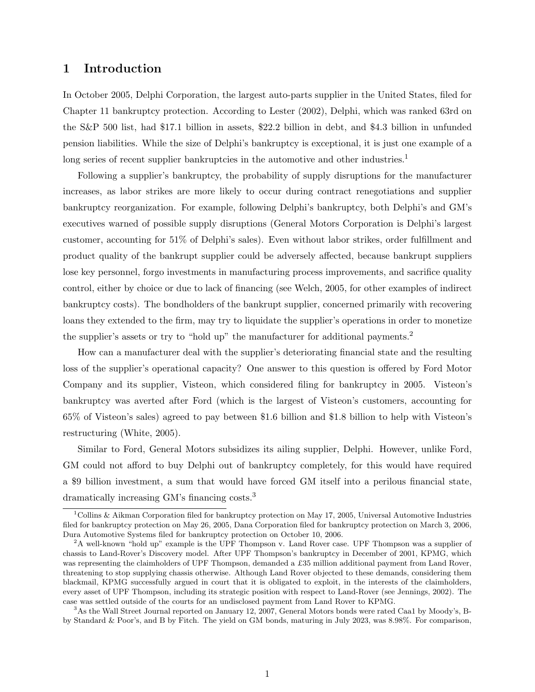### 1 Introduction

In October 2005, Delphi Corporation, the largest auto-parts supplier in the United States, filed for Chapter 11 bankruptcy protection. According to Lester (2002), Delphi, which was ranked 63rd on the S&P 500 list, had \$17.1 billion in assets, \$22.2 billion in debt, and \$4.3 billion in unfunded pension liabilities. While the size of Delphi's bankruptcy is exceptional, it is just one example of a long series of recent supplier bankruptcies in the automotive and other industries.<sup>1</sup>

Following a supplier's bankruptcy, the probability of supply disruptions for the manufacturer increases, as labor strikes are more likely to occur during contract renegotiations and supplier bankruptcy reorganization. For example, following Delphi's bankruptcy, both Delphi's and GM's executives warned of possible supply disruptions (General Motors Corporation is Delphi's largest customer, accounting for 51% of Delphi's sales). Even without labor strikes, order fulfillment and product quality of the bankrupt supplier could be adversely affected, because bankrupt suppliers lose key personnel, forgo investments in manufacturing process improvements, and sacrifice quality control, either by choice or due to lack of financing (see Welch, 2005, for other examples of indirect bankruptcy costs). The bondholders of the bankrupt supplier, concerned primarily with recovering loans they extended to the firm, may try to liquidate the supplier's operations in order to monetize the supplier's assets or try to "hold up" the manufacturer for additional payments.<sup>2</sup>

How can a manufacturer deal with the supplier's deteriorating financial state and the resulting loss of the supplier's operational capacity? One answer to this question is offered by Ford Motor Company and its supplier, Visteon, which considered filing for bankruptcy in 2005. Visteon's bankruptcy was averted after Ford (which is the largest of Visteon's customers, accounting for 65% of Visteon's sales) agreed to pay between \$1.6 billion and \$1.8 billion to help with Visteon's restructuring (White, 2005).

Similar to Ford, General Motors subsidizes its ailing supplier, Delphi. However, unlike Ford, GM could not afford to buy Delphi out of bankruptcy completely, for this would have required a \$9 billion investment, a sum that would have forced GM itself into a perilous financial state, dramatically increasing GM's financing costs.<sup>3</sup>

<sup>&</sup>lt;sup>1</sup>Collins & Aikman Corporation filed for bankruptcy protection on May 17, 2005, Universal Automotive Industries filed for bankruptcy protection on May 26, 2005, Dana Corporation filed for bankruptcy protection on March 3, 2006, Dura Automotive Systems filed for bankruptcy protection on October 10, 2006.

<sup>&</sup>lt;sup>2</sup>A well-known "hold up" example is the UPF Thompson v. Land Rover case. UPF Thompson was a supplier of chassis to Land-Rover's Discovery model. After UPF Thompson's bankruptcy in December of 2001, KPMG, which was representing the claimholders of UPF Thompson, demanded a £35 million additional payment from Land Rover, threatening to stop supplying chassis otherwise. Although Land Rover objected to these demands, considering them blackmail, KPMG successfully argued in court that it is obligated to exploit, in the interests of the claimholders, every asset of UPF Thompson, including its strategic position with respect to Land-Rover (see Jennings, 2002). The case was settled outside of the courts for an undisclosed payment from Land Rover to KPMG.

<sup>3</sup>As the Wall Street Journal reported on January 12, 2007, General Motors bonds were rated Caa1 by Moody's, Bby Standard & Poor's, and B by Fitch. The yield on GM bonds, maturing in July 2023, was 8.98%. For comparison,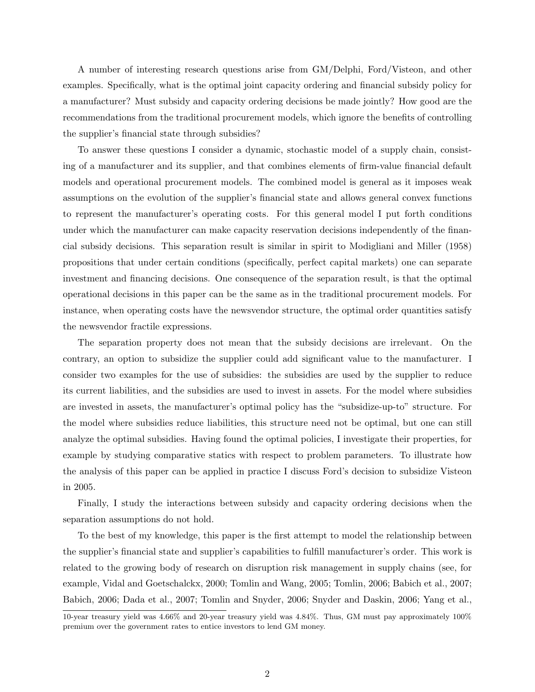A number of interesting research questions arise from GM/Delphi, Ford/Visteon, and other examples. Specifically, what is the optimal joint capacity ordering and financial subsidy policy for a manufacturer? Must subsidy and capacity ordering decisions be made jointly? How good are the recommendations from the traditional procurement models, which ignore the benefits of controlling the supplier's financial state through subsidies?

To answer these questions I consider a dynamic, stochastic model of a supply chain, consisting of a manufacturer and its supplier, and that combines elements of firm-value financial default models and operational procurement models. The combined model is general as it imposes weak assumptions on the evolution of the supplier's financial state and allows general convex functions to represent the manufacturer's operating costs. For this general model I put forth conditions under which the manufacturer can make capacity reservation decisions independently of the financial subsidy decisions. This separation result is similar in spirit to Modigliani and Miller (1958) propositions that under certain conditions (specifically, perfect capital markets) one can separate investment and financing decisions. One consequence of the separation result, is that the optimal operational decisions in this paper can be the same as in the traditional procurement models. For instance, when operating costs have the newsvendor structure, the optimal order quantities satisfy the newsvendor fractile expressions.

The separation property does not mean that the subsidy decisions are irrelevant. On the contrary, an option to subsidize the supplier could add significant value to the manufacturer. I consider two examples for the use of subsidies: the subsidies are used by the supplier to reduce its current liabilities, and the subsidies are used to invest in assets. For the model where subsidies are invested in assets, the manufacturer's optimal policy has the "subsidize-up-to" structure. For the model where subsidies reduce liabilities, this structure need not be optimal, but one can still analyze the optimal subsidies. Having found the optimal policies, I investigate their properties, for example by studying comparative statics with respect to problem parameters. To illustrate how the analysis of this paper can be applied in practice I discuss Ford's decision to subsidize Visteon in 2005.

Finally, I study the interactions between subsidy and capacity ordering decisions when the separation assumptions do not hold.

To the best of my knowledge, this paper is the first attempt to model the relationship between the supplier's financial state and supplier's capabilities to fulfill manufacturer's order. This work is related to the growing body of research on disruption risk management in supply chains (see, for example, Vidal and Goetschalckx, 2000; Tomlin and Wang, 2005; Tomlin, 2006; Babich et al., 2007; Babich, 2006; Dada et al., 2007; Tomlin and Snyder, 2006; Snyder and Daskin, 2006; Yang et al.,

<sup>10-</sup>year treasury yield was 4.66% and 20-year treasury yield was 4.84%. Thus, GM must pay approximately 100% premium over the government rates to entice investors to lend GM money.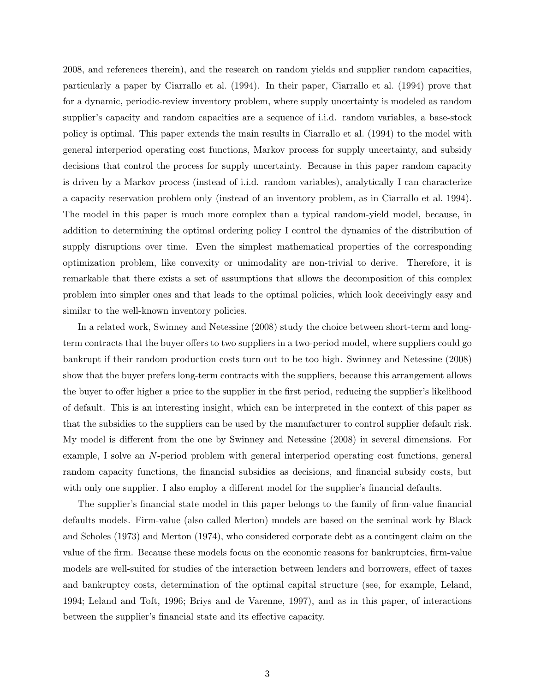2008, and references therein), and the research on random yields and supplier random capacities, particularly a paper by Ciarrallo et al. (1994). In their paper, Ciarrallo et al. (1994) prove that for a dynamic, periodic-review inventory problem, where supply uncertainty is modeled as random supplier's capacity and random capacities are a sequence of i.i.d. random variables, a base-stock policy is optimal. This paper extends the main results in Ciarrallo et al. (1994) to the model with general interperiod operating cost functions, Markov process for supply uncertainty, and subsidy decisions that control the process for supply uncertainty. Because in this paper random capacity is driven by a Markov process (instead of i.i.d. random variables), analytically I can characterize a capacity reservation problem only (instead of an inventory problem, as in Ciarrallo et al. 1994). The model in this paper is much more complex than a typical random-yield model, because, in addition to determining the optimal ordering policy I control the dynamics of the distribution of supply disruptions over time. Even the simplest mathematical properties of the corresponding optimization problem, like convexity or unimodality are non-trivial to derive. Therefore, it is remarkable that there exists a set of assumptions that allows the decomposition of this complex problem into simpler ones and that leads to the optimal policies, which look deceivingly easy and similar to the well-known inventory policies.

In a related work, Swinney and Netessine (2008) study the choice between short-term and longterm contracts that the buyer offers to two suppliers in a two-period model, where suppliers could go bankrupt if their random production costs turn out to be too high. Swinney and Netessine (2008) show that the buyer prefers long-term contracts with the suppliers, because this arrangement allows the buyer to offer higher a price to the supplier in the first period, reducing the supplier's likelihood of default. This is an interesting insight, which can be interpreted in the context of this paper as that the subsidies to the suppliers can be used by the manufacturer to control supplier default risk. My model is different from the one by Swinney and Netessine (2008) in several dimensions. For example, I solve an N-period problem with general interperiod operating cost functions, general random capacity functions, the financial subsidies as decisions, and financial subsidy costs, but with only one supplier. I also employ a different model for the supplier's financial defaults.

The supplier's financial state model in this paper belongs to the family of firm-value financial defaults models. Firm-value (also called Merton) models are based on the seminal work by Black and Scholes (1973) and Merton (1974), who considered corporate debt as a contingent claim on the value of the firm. Because these models focus on the economic reasons for bankruptcies, firm-value models are well-suited for studies of the interaction between lenders and borrowers, effect of taxes and bankruptcy costs, determination of the optimal capital structure (see, for example, Leland, 1994; Leland and Toft, 1996; Briys and de Varenne, 1997), and as in this paper, of interactions between the supplier's financial state and its effective capacity.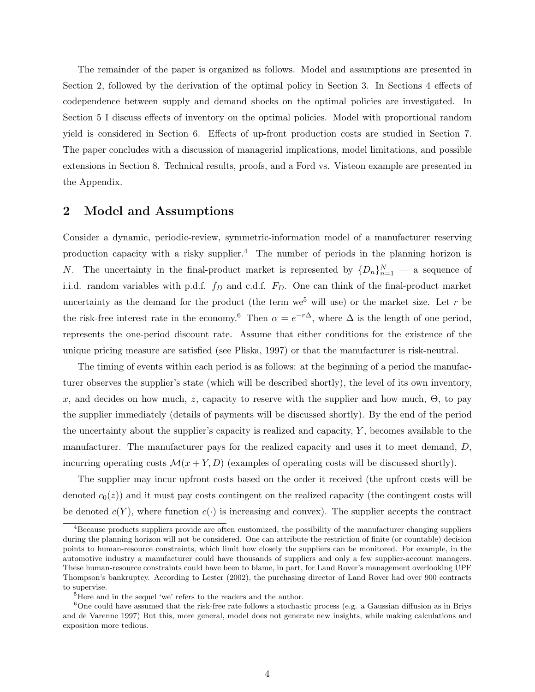The remainder of the paper is organized as follows. Model and assumptions are presented in Section 2, followed by the derivation of the optimal policy in Section 3. In Sections 4 effects of codependence between supply and demand shocks on the optimal policies are investigated. In Section 5 I discuss effects of inventory on the optimal policies. Model with proportional random yield is considered in Section 6. Effects of up-front production costs are studied in Section 7. The paper concludes with a discussion of managerial implications, model limitations, and possible extensions in Section 8. Technical results, proofs, and a Ford vs. Visteon example are presented in the Appendix.

### 2 Model and Assumptions

Consider a dynamic, periodic-review, symmetric-information model of a manufacturer reserving production capacity with a risky supplier.<sup>4</sup> The number of periods in the planning horizon is N. The uncertainty in the final-product market is represented by  ${D_n}_{n=1}^N$  — a sequence of i.i.d. random variables with p.d.f.  $f_D$  and c.d.f.  $F_D$ . One can think of the final-product market uncertainty as the demand for the product (the term we<sup>5</sup> will use) or the market size. Let r be the risk-free interest rate in the economy.<sup>6</sup> Then  $\alpha = e^{-r\Delta}$ , where  $\Delta$  is the length of one period, represents the one-period discount rate. Assume that either conditions for the existence of the unique pricing measure are satisfied (see Pliska, 1997) or that the manufacturer is risk-neutral.

The timing of events within each period is as follows: at the beginning of a period the manufacturer observes the supplier's state (which will be described shortly), the level of its own inventory, x, and decides on how much, z, capacity to reserve with the supplier and how much,  $\Theta$ , to pay the supplier immediately (details of payments will be discussed shortly). By the end of the period the uncertainty about the supplier's capacity is realized and capacity,  $Y$ , becomes available to the manufacturer. The manufacturer pays for the realized capacity and uses it to meet demand, D, incurring operating costs  $\mathcal{M}(x + Y, D)$  (examples of operating costs will be discussed shortly).

The supplier may incur upfront costs based on the order it received (the upfront costs will be denoted  $c_0(z)$  and it must pay costs contingent on the realized capacity (the contingent costs will be denoted  $c(Y)$ , where function  $c(\cdot)$  is increasing and convex). The supplier accepts the contract

<sup>4</sup>Because products suppliers provide are often customized, the possibility of the manufacturer changing suppliers during the planning horizon will not be considered. One can attribute the restriction of finite (or countable) decision points to human-resource constraints, which limit how closely the suppliers can be monitored. For example, in the automotive industry a manufacturer could have thousands of suppliers and only a few supplier-account managers. These human-resource constraints could have been to blame, in part, for Land Rover's management overlooking UPF Thompson's bankruptcy. According to Lester (2002), the purchasing director of Land Rover had over 900 contracts to supervise.

<sup>&</sup>lt;sup>5</sup>Here and in the sequel 'we' refers to the readers and the author.

<sup>&</sup>lt;sup>6</sup>One could have assumed that the risk-free rate follows a stochastic process (e.g. a Gaussian diffusion as in Briys and de Varenne 1997) But this, more general, model does not generate new insights, while making calculations and exposition more tedious.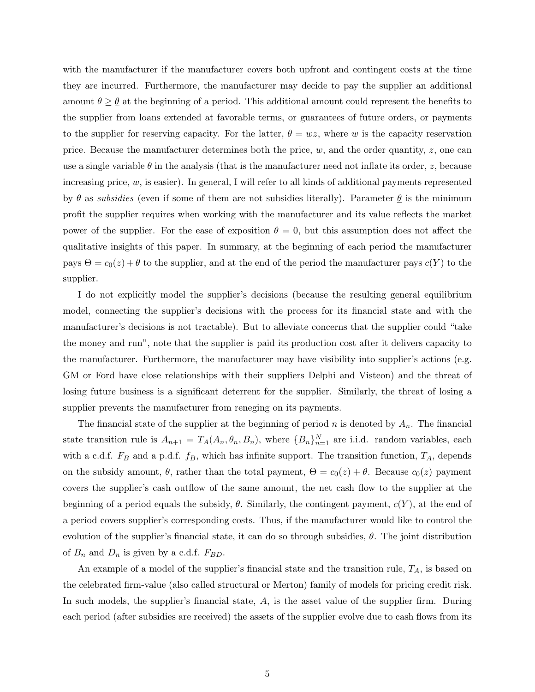with the manufacturer if the manufacturer covers both upfront and contingent costs at the time they are incurred. Furthermore, the manufacturer may decide to pay the supplier an additional amount  $\theta \geq \theta$  at the beginning of a period. This additional amount could represent the benefits to the supplier from loans extended at favorable terms, or guarantees of future orders, or payments to the supplier for reserving capacity. For the latter,  $\theta = wz$ , where w is the capacity reservation price. Because the manufacturer determines both the price,  $w$ , and the order quantity,  $z$ , one can use a single variable  $\theta$  in the analysis (that is the manufacturer need not inflate its order, z, because increasing price,  $w$ , is easier). In general, I will refer to all kinds of additional payments represented by  $\theta$  as subsidies (even if some of them are not subsidies literally). Parameter  $\theta$  is the minimum profit the supplier requires when working with the manufacturer and its value reflects the market power of the supplier. For the ease of exposition  $\theta = 0$ , but this assumption does not affect the qualitative insights of this paper. In summary, at the beginning of each period the manufacturer pays  $\Theta = c_0(z) + \theta$  to the supplier, and at the end of the period the manufacturer pays  $c(Y)$  to the supplier.

I do not explicitly model the supplier's decisions (because the resulting general equilibrium model, connecting the supplier's decisions with the process for its financial state and with the manufacturer's decisions is not tractable). But to alleviate concerns that the supplier could "take the money and run", note that the supplier is paid its production cost after it delivers capacity to the manufacturer. Furthermore, the manufacturer may have visibility into supplier's actions (e.g. GM or Ford have close relationships with their suppliers Delphi and Visteon) and the threat of losing future business is a significant deterrent for the supplier. Similarly, the threat of losing a supplier prevents the manufacturer from reneging on its payments.

The financial state of the supplier at the beginning of period n is denoted by  $A_n$ . The financial state transition rule is  $A_{n+1} = T_A(A_n, \theta_n, B_n)$ , where  ${B_n}_{n=1}^N$  are i.i.d. random variables, each with a c.d.f.  $F_B$  and a p.d.f.  $f_B$ , which has infinite support. The transition function,  $T_A$ , depends on the subsidy amount,  $\theta$ , rather than the total payment,  $\Theta = c_0(z) + \theta$ . Because  $c_0(z)$  payment covers the supplier's cash outflow of the same amount, the net cash flow to the supplier at the beginning of a period equals the subsidy,  $\theta$ . Similarly, the contingent payment,  $c(Y)$ , at the end of a period covers supplier's corresponding costs. Thus, if the manufacturer would like to control the evolution of the supplier's financial state, it can do so through subsidies,  $\theta$ . The joint distribution of  $B_n$  and  $D_n$  is given by a c.d.f.  $F_{BD}$ .

An example of a model of the supplier's financial state and the transition rule,  $T_A$ , is based on the celebrated firm-value (also called structural or Merton) family of models for pricing credit risk. In such models, the supplier's financial state, A, is the asset value of the supplier firm. During each period (after subsidies are received) the assets of the supplier evolve due to cash flows from its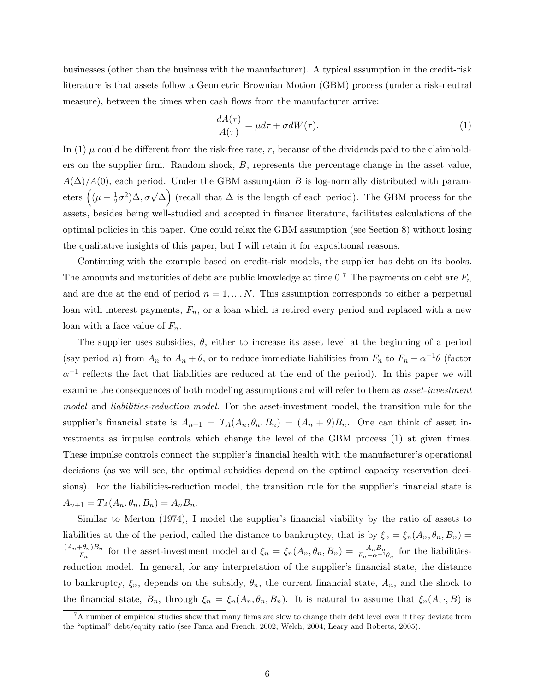businesses (other than the business with the manufacturer). A typical assumption in the credit-risk literature is that assets follow a Geometric Brownian Motion (GBM) process (under a risk-neutral measure), between the times when cash flows from the manufacturer arrive:

$$
\frac{dA(\tau)}{A(\tau)} = \mu d\tau + \sigma dW(\tau). \tag{1}
$$

In (1)  $\mu$  could be different from the risk-free rate, r, because of the dividends paid to the claimholders on the supplier firm. Random shock, B, represents the percentage change in the asset value,  $A(\Delta)/A(0)$ , each period. Under the GBM assumption B is log-normally distributed with param- $\text{etc.}$   $\text{etc.}$   $\left((\mu-\frac{1}{2})\right)$  $\left(\frac{1}{2}\sigma^2\right)\Delta, \sigma\sqrt{\Delta}$  (recall that  $\Delta$  is the length of each period). The GBM process for the assets, besides being well-studied and accepted in finance literature, facilitates calculations of the optimal policies in this paper. One could relax the GBM assumption (see Section 8) without losing the qualitative insights of this paper, but I will retain it for expositional reasons.

Continuing with the example based on credit-risk models, the supplier has debt on its books. The amounts and maturities of debt are public knowledge at time 0.<sup>7</sup> The payments on debt are  $F_n$ and are due at the end of period  $n = 1, ..., N$ . This assumption corresponds to either a perpetual loan with interest payments,  $F_n$ , or a loan which is retired every period and replaced with a new loan with a face value of  $F_n$ .

The supplier uses subsidies,  $\theta$ , either to increase its asset level at the beginning of a period (say period *n*) from  $A_n$  to  $A_n + \theta$ , or to reduce immediate liabilities from  $F_n$  to  $F_n - \alpha^{-1}\theta$  (factor  $\alpha^{-1}$  reflects the fact that liabilities are reduced at the end of the period). In this paper we will examine the consequences of both modeling assumptions and will refer to them as *asset-investment* model and *liabilities-reduction model*. For the asset-investment model, the transition rule for the supplier's financial state is  $A_{n+1} = T_A(A_n, \theta_n, B_n) = (A_n + \theta)B_n$ . One can think of asset investments as impulse controls which change the level of the GBM process (1) at given times. These impulse controls connect the supplier's financial health with the manufacturer's operational decisions (as we will see, the optimal subsidies depend on the optimal capacity reservation decisions). For the liabilities-reduction model, the transition rule for the supplier's financial state is  $A_{n+1} = T_A(A_n, \theta_n, B_n) = A_n B_n.$ 

Similar to Merton (1974), I model the supplier's financial viability by the ratio of assets to liabilities at the of the period, called the distance to bankruptcy, that is by  $\xi_n = \xi_n(A_n, \theta_n, B_n)$  $(A_n+\theta_n)B_n$  $\frac{\partial f_n}{\partial h_n}$  for the asset-investment model and  $\xi_n = \xi_n(A_n, \theta_n, B_n) = \frac{A_n B_n}{F_n - \alpha^{-1} \theta_n}$  for the liabilitiesreduction model. In general, for any interpretation of the supplier's financial state, the distance to bankruptcy,  $\xi_n$ , depends on the subsidy,  $\theta_n$ , the current financial state,  $A_n$ , and the shock to the financial state,  $B_n$ , through  $\xi_n = \xi_n(A_n, \theta_n, B_n)$ . It is natural to assume that  $\xi_n(A, \cdot, B)$  is

 ${}^{7}$ A number of empirical studies show that many firms are slow to change their debt level even if they deviate from the "optimal" debt/equity ratio (see Fama and French, 2002; Welch, 2004; Leary and Roberts, 2005).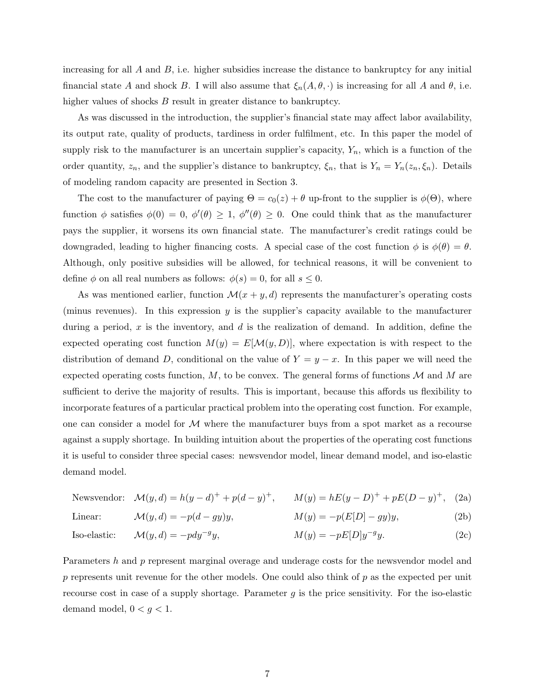increasing for all  $A$  and  $B$ , i.e. higher subsidies increase the distance to bankruptcy for any initial financial state A and shock B. I will also assume that  $\xi_n(A, \theta, \cdot)$  is increasing for all A and  $\theta$ , i.e. higher values of shocks B result in greater distance to bankruptcy.

As was discussed in the introduction, the supplier's financial state may affect labor availability, its output rate, quality of products, tardiness in order fulfilment, etc. In this paper the model of supply risk to the manufacturer is an uncertain supplier's capacity,  $Y_n$ , which is a function of the order quantity,  $z_n$ , and the supplier's distance to bankruptcy,  $\xi_n$ , that is  $Y_n = Y_n(z_n, \xi_n)$ . Details of modeling random capacity are presented in Section 3.

The cost to the manufacturer of paying  $\Theta = c_0(z) + \theta$  up-front to the supplier is  $\phi(\Theta)$ , where function  $\phi$  satisfies  $\phi(0) = 0$ ,  $\phi'(\theta) \geq 1$ ,  $\phi''(\theta) \geq 0$ . One could think that as the manufacturer pays the supplier, it worsens its own financial state. The manufacturer's credit ratings could be downgraded, leading to higher financing costs. A special case of the cost function  $\phi$  is  $\phi(\theta) = \theta$ . Although, only positive subsidies will be allowed, for technical reasons, it will be convenient to define  $\phi$  on all real numbers as follows:  $\phi(s) = 0$ , for all  $s \leq 0$ .

As was mentioned earlier, function  $\mathcal{M}(x+y,d)$  represents the manufacturer's operating costs (minus revenues). In this expression  $y$  is the supplier's capacity available to the manufacturer during a period,  $x$  is the inventory, and  $d$  is the realization of demand. In addition, define the expected operating cost function  $M(y) = E[\mathcal{M}(y, D)]$ , where expectation is with respect to the distribution of demand D, conditional on the value of  $Y = y - x$ . In this paper we will need the expected operating costs function,  $M$ , to be convex. The general forms of functions  $M$  and  $M$  are sufficient to derive the majority of results. This is important, because this affords us flexibility to incorporate features of a particular practical problem into the operating cost function. For example, one can consider a model for  $M$  where the manufacturer buys from a spot market as a recourse against a supply shortage. In building intuition about the properties of the operating cost functions it is useful to consider three special cases: newsvendor model, linear demand model, and iso-elastic demand model.

$$
\text{Newsvendor:} \quad \mathcal{M}(y, d) = h(y - d)^{+} + p(d - y)^{+}, \qquad M(y) = hE(y - D)^{+} + pE(D - y)^{+}, \tag{2a}
$$

$$
\text{Linear:} \qquad \mathcal{M}(y, d) = -p(d - gy)y, \qquad \qquad M(y) = -p(E[D] - gy)y,\tag{2b}
$$

Iso-elastic: 
$$
\mathcal{M}(y, d) = -p dy^{-g} y,
$$
  $M(y) = -p E[D] y^{-g} y.$  (2c)

Parameters h and p represent marginal overage and underage costs for the newsvendor model and  $p$  represents unit revenue for the other models. One could also think of  $p$  as the expected per unit recourse cost in case of a supply shortage. Parameter  $g$  is the price sensitivity. For the iso-elastic demand model,  $0 < g < 1$ .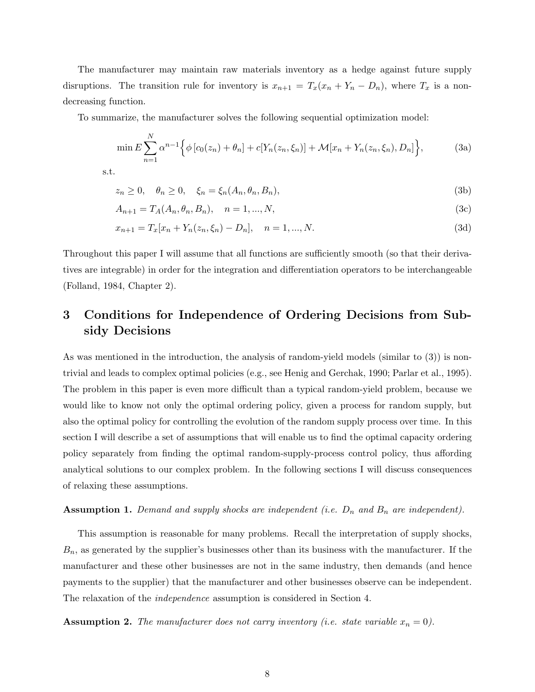The manufacturer may maintain raw materials inventory as a hedge against future supply disruptions. The transition rule for inventory is  $x_{n+1} = T_x(x_n + Y_n - D_n)$ , where  $T_x$  is a nondecreasing function.

To summarize, the manufacturer solves the following sequential optimization model:

$$
\min E \sum_{n=1}^{N} \alpha^{n-1} \Big\{ \phi \left[ c_0(z_n) + \theta_n \right] + c \left[ Y_n(z_n, \xi_n) \right] + \mathcal{M}[x_n + Y_n(z_n, \xi_n), D_n] \Big\},\tag{3a}
$$

s.t.

$$
z_n \ge 0, \quad \theta_n \ge 0, \quad \xi_n = \xi_n(A_n, \theta_n, B_n), \tag{3b}
$$

$$
A_{n+1} = T_A(A_n, \theta_n, B_n), \quad n = 1, ..., N,
$$
\n(3c)

$$
x_{n+1} = T_x[x_n + Y_n(z_n, \xi_n) - D_n], \quad n = 1, ..., N.
$$
\n(3d)

Throughout this paper I will assume that all functions are sufficiently smooth (so that their derivatives are integrable) in order for the integration and differentiation operators to be interchangeable (Folland, 1984, Chapter 2).

# 3 Conditions for Independence of Ordering Decisions from Subsidy Decisions

As was mentioned in the introduction, the analysis of random-yield models (similar to (3)) is nontrivial and leads to complex optimal policies (e.g., see Henig and Gerchak, 1990; Parlar et al., 1995). The problem in this paper is even more difficult than a typical random-yield problem, because we would like to know not only the optimal ordering policy, given a process for random supply, but also the optimal policy for controlling the evolution of the random supply process over time. In this section I will describe a set of assumptions that will enable us to find the optimal capacity ordering policy separately from finding the optimal random-supply-process control policy, thus affording analytical solutions to our complex problem. In the following sections I will discuss consequences of relaxing these assumptions.

### **Assumption 1.** Demand and supply shocks are independent (i.e.  $D_n$  and  $B_n$  are independent).

This assumption is reasonable for many problems. Recall the interpretation of supply shocks,  $B_n$ , as generated by the supplier's businesses other than its business with the manufacturer. If the manufacturer and these other businesses are not in the same industry, then demands (and hence payments to the supplier) that the manufacturer and other businesses observe can be independent. The relaxation of the independence assumption is considered in Section 4.

**Assumption 2.** The manufacturer does not carry inventory (i.e. state variable  $x_n = 0$ ).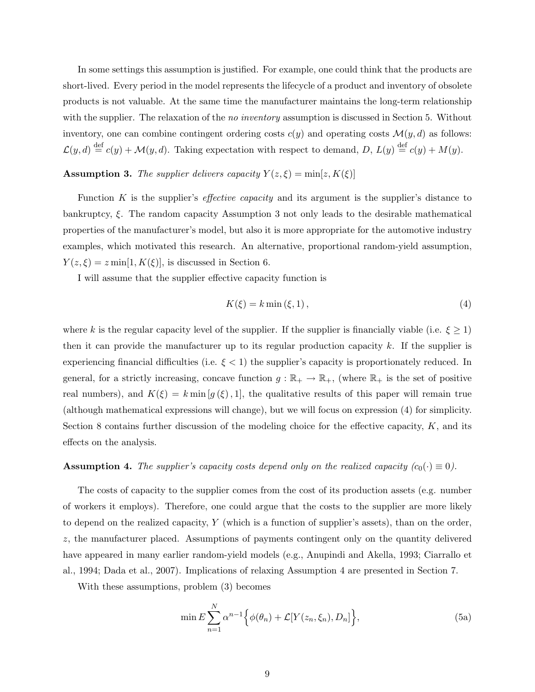In some settings this assumption is justified. For example, one could think that the products are short-lived. Every period in the model represents the lifecycle of a product and inventory of obsolete products is not valuable. At the same time the manufacturer maintains the long-term relationship with the supplier. The relaxation of the *no inventory* assumption is discussed in Section 5. Without inventory, one can combine contingent ordering costs  $c(y)$  and operating costs  $\mathcal{M}(y, d)$  as follows:  $\mathcal{L}(y, d) \stackrel{\text{def}}{=} c(y) + \mathcal{M}(y, d)$ . Taking expectation with respect to demand, D,  $L(y) \stackrel{\text{def}}{=} c(y) + M(y)$ .

### **Assumption 3.** The supplier delivers capacity  $Y(z,\xi) = \min[z, K(\xi)]$

Function  $K$  is the supplier's *effective capacity* and its argument is the supplier's distance to bankruptcy, ξ. The random capacity Assumption 3 not only leads to the desirable mathematical properties of the manufacturer's model, but also it is more appropriate for the automotive industry examples, which motivated this research. An alternative, proportional random-yield assumption,  $Y(z,\xi) = z \min[1, K(\xi)],$  is discussed in Section 6.

I will assume that the supplier effective capacity function is

$$
K(\xi) = k \min(\xi, 1), \tag{4}
$$

where k is the regular capacity level of the supplier. If the supplier is financially viable (i.e.  $\xi \geq 1$ ) then it can provide the manufacturer up to its regular production capacity  $k$ . If the supplier is experiencing financial difficulties (i.e.  $\xi < 1$ ) the supplier's capacity is proportionately reduced. In general, for a strictly increasing, concave function  $g : \mathbb{R}_+ \to \mathbb{R}_+$ , (where  $\mathbb{R}_+$  is the set of positive real numbers), and  $K(\xi) = k \min[g(\xi), 1]$ , the qualitative results of this paper will remain true (although mathematical expressions will change), but we will focus on expression (4) for simplicity. Section 8 contains further discussion of the modeling choice for the effective capacity,  $K$ , and its effects on the analysis.

### **Assumption 4.** The supplier's capacity costs depend only on the realized capacity  $(c_0(\cdot) \equiv 0)$ .

The costs of capacity to the supplier comes from the cost of its production assets (e.g. number of workers it employs). Therefore, one could argue that the costs to the supplier are more likely to depend on the realized capacity, Y (which is a function of supplier's assets), than on the order, z, the manufacturer placed. Assumptions of payments contingent only on the quantity delivered have appeared in many earlier random-yield models (e.g., Anupindi and Akella, 1993; Ciarrallo et al., 1994; Dada et al., 2007). Implications of relaxing Assumption 4 are presented in Section 7.

With these assumptions, problem (3) becomes

$$
\min E \sum_{n=1}^{N} \alpha^{n-1} \Big\{ \phi(\theta_n) + \mathcal{L}[Y(z_n, \xi_n), D_n] \Big\},\tag{5a}
$$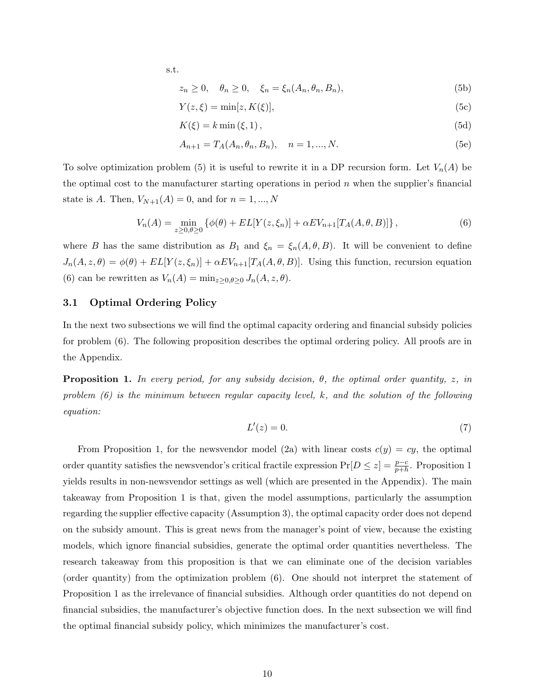s.t.

$$
z_n \ge 0, \quad \theta_n \ge 0, \quad \xi_n = \xi_n(A_n, \theta_n, B_n), \tag{5b}
$$

$$
Y(z,\xi) = \min[z, K(\xi)],\tag{5c}
$$

$$
K(\xi) = k \min(\xi, 1),\tag{5d}
$$

$$
A_{n+1} = T_A(A_n, \theta_n, B_n), \quad n = 1, ..., N.
$$
 (5e)

To solve optimization problem (5) it is useful to rewrite it in a DP recursion form. Let  $V_n(A)$  be the optimal cost to the manufacturer starting operations in period  $n$  when the supplier's financial state is A. Then,  $V_{N+1}(A) = 0$ , and for  $n = 1, ..., N$ 

$$
V_n(A) = \min_{z \ge 0, \theta \ge 0} \left\{ \phi(\theta) + EL[Y(z, \xi_n)] + \alpha EV_{n+1}[T_A(A, \theta, B)] \right\},\tag{6}
$$

where B has the same distribution as  $B_1$  and  $\xi_n = \xi_n(A, \theta, B)$ . It will be convenient to define  $J_n(A, z, \theta) = \phi(\theta) + EL[Y(z, \xi_n)] + \alpha EV_{n+1}[T_A(A, \theta, B)].$  Using this function, recursion equation (6) can be rewritten as  $V_n(A) = \min_{z \ge 0, \theta \ge 0} J_n(A, z, \theta)$ .

### 3.1 Optimal Ordering Policy

In the next two subsections we will find the optimal capacity ordering and financial subsidy policies for problem (6). The following proposition describes the optimal ordering policy. All proofs are in the Appendix.

**Proposition 1.** In every period, for any subsidy decision,  $\theta$ , the optimal order quantity, z, in problem  $(6)$  is the minimum between regular capacity level, k, and the solution of the following equation:

$$
L'(z) = 0.\t\t(7)
$$

From Proposition 1, for the newsvendor model (2a) with linear costs  $c(y) = cy$ , the optimal order quantity satisfies the newsvendor's critical fractile expression  $Pr[D \leq z] = \frac{p-c}{p+h}$ . Proposition 1 yields results in non-newsvendor settings as well (which are presented in the Appendix). The main takeaway from Proposition 1 is that, given the model assumptions, particularly the assumption regarding the supplier effective capacity (Assumption 3), the optimal capacity order does not depend on the subsidy amount. This is great news from the manager's point of view, because the existing models, which ignore financial subsidies, generate the optimal order quantities nevertheless. The research takeaway from this proposition is that we can eliminate one of the decision variables (order quantity) from the optimization problem (6). One should not interpret the statement of Proposition 1 as the irrelevance of financial subsidies. Although order quantities do not depend on financial subsidies, the manufacturer's objective function does. In the next subsection we will find the optimal financial subsidy policy, which minimizes the manufacturer's cost.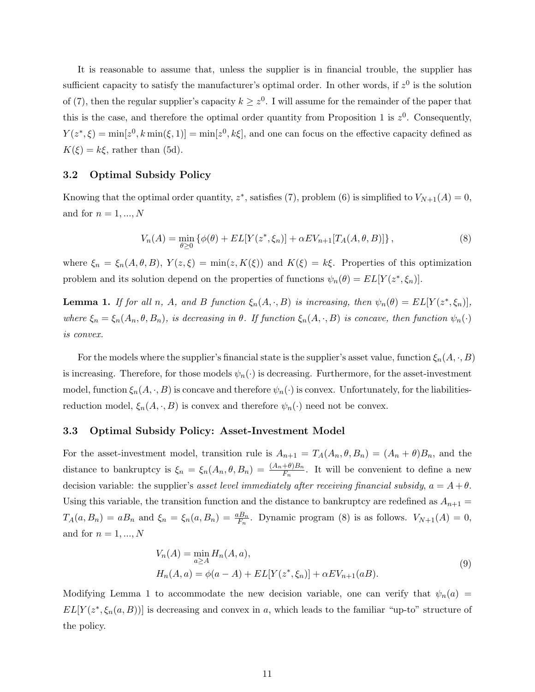It is reasonable to assume that, unless the supplier is in financial trouble, the supplier has sufficient capacity to satisfy the manufacturer's optimal order. In other words, if  $z<sup>0</sup>$  is the solution of (7), then the regular supplier's capacity  $k \geq z^0$ . I will assume for the remainder of the paper that this is the case, and therefore the optimal order quantity from Proposition 1 is  $z^0$ . Consequently,  $Y(z^*,\xi) = \min[z^0, k \min(\xi,1)] = \min[z^0, k\xi],$  and one can focus on the effective capacity defined as  $K(\xi) = k\xi$ , rather than (5d).

### 3.2 Optimal Subsidy Policy

Knowing that the optimal order quantity,  $z^*$ , satisfies (7), problem (6) is simplified to  $V_{N+1}(A) = 0$ , and for  $n = 1, ..., N$ 

$$
V_n(A) = \min_{\theta \ge 0} \left\{ \phi(\theta) + EL[Y(z^*, \xi_n)] + \alpha EV_{n+1}[T_A(A, \theta, B)] \right\},\tag{8}
$$

where  $\xi_n = \xi_n(A, \theta, B)$ ,  $Y(z, \xi) = \min(z, K(\xi))$  and  $K(\xi) = k\xi$ . Properties of this optimization problem and its solution depend on the properties of functions  $\psi_n(\theta) = EL[Y(z^*, \xi_n)].$ 

**Lemma 1.** If for all n, A, and B function  $\xi_n(A, \cdot, B)$  is increasing, then  $\psi_n(\theta) = EL[Y(z^*, \xi_n)],$ where  $\xi_n = \xi_n(A_n, \theta, B_n)$ , is decreasing in  $\theta$ . If function  $\xi_n(A, \cdot, B)$  is concave, then function  $\psi_n(\cdot)$ is convex.

For the models where the supplier's financial state is the supplier's asset value, function  $\xi_n(A, \cdot, B)$ is increasing. Therefore, for those models  $\psi_n(\cdot)$  is decreasing. Furthermore, for the asset-investment model, function  $\xi_n(A, \cdot, B)$  is concave and therefore  $\psi_n(\cdot)$  is convex. Unfortunately, for the liabilitiesreduction model,  $\xi_n(A, \cdot, B)$  is convex and therefore  $\psi_n(\cdot)$  need not be convex.

#### 3.3 Optimal Subsidy Policy: Asset-Investment Model

For the asset-investment model, transition rule is  $A_{n+1} = T_A(A_n, \theta, B_n) = (A_n + \theta)B_n$ , and the distance to bankruptcy is  $\xi_n = \xi_n(A_n, \theta, B_n) = \frac{(A_n + \theta)B_n}{F_n}$ . It will be convenient to define a new decision variable: the supplier's asset level immediately after receiving financial subsidy,  $a = A + \theta$ . Using this variable, the transition function and the distance to bankruptcy are redefined as  $A_{n+1}$  =  $T_A(a, B_n) = aB_n$  and  $\xi_n = \xi_n(a, B_n) = \frac{aB_n}{F_n}$ . Dynamic program (8) is as follows.  $V_{N+1}(A) = 0$ , and for  $n = 1, ..., N$ 

$$
V_n(A) = \min_{a \ge A} H_n(A, a),
$$
  
\n
$$
H_n(A, a) = \phi(a - A) + EL[Y(z^*, \xi_n)] + \alpha EV_{n+1}(aB).
$$
\n(9)

Modifying Lemma 1 to accommodate the new decision variable, one can verify that  $\psi_n(a)$  =  $EL[Y(z^*, \xi_n(a, B))]$  is decreasing and convex in a, which leads to the familiar "up-to" structure of the policy.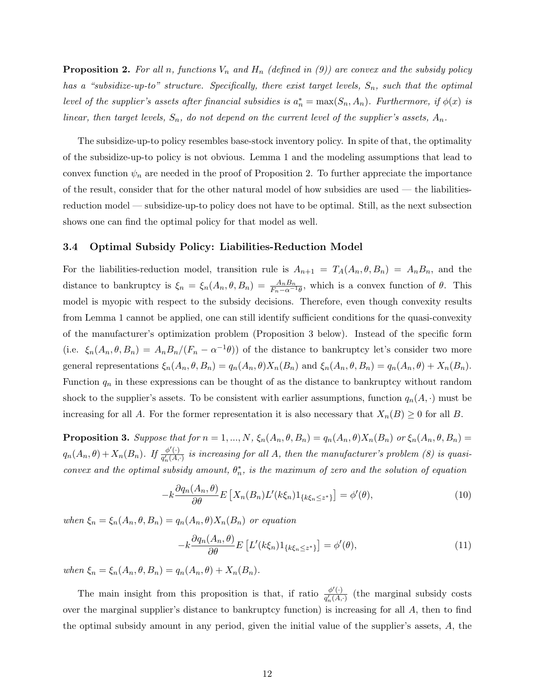**Proposition 2.** For all n, functions  $V_n$  and  $H_n$  (defined in (9)) are convex and the subsidy policy has a "subsidize-up-to" structure. Specifically, there exist target levels,  $S_n$ , such that the optimal level of the supplier's assets after financial subsidies is  $a_n^* = \max(S_n, A_n)$ . Furthermore, if  $\phi(x)$  is linear, then target levels,  $S_n$ , do not depend on the current level of the supplier's assets,  $A_n$ .

The subsidize-up-to policy resembles base-stock inventory policy. In spite of that, the optimality of the subsidize-up-to policy is not obvious. Lemma 1 and the modeling assumptions that lead to convex function  $\psi_n$  are needed in the proof of Proposition 2. To further appreciate the importance of the result, consider that for the other natural model of how subsidies are used — the liabilitiesreduction model — subsidize-up-to policy does not have to be optimal. Still, as the next subsection shows one can find the optimal policy for that model as well.

### 3.4 Optimal Subsidy Policy: Liabilities-Reduction Model

For the liabilities-reduction model, transition rule is  $A_{n+1} = T_A(A_n, \theta, B_n) = A_n B_n$ , and the distance to bankruptcy is  $\xi_n = \xi_n(A_n, \theta, B_n) = \frac{A_n B_n}{F_n - \alpha^{-1} \theta}$ , which is a convex function of  $\theta$ . This model is myopic with respect to the subsidy decisions. Therefore, even though convexity results from Lemma 1 cannot be applied, one can still identify sufficient conditions for the quasi-convexity of the manufacturer's optimization problem (Proposition 3 below). Instead of the specific form (i.e.  $\xi_n(A_n, \theta, B_n) = A_n B_n / (F_n - \alpha^{-1} \theta)$ ) of the distance to bankruptcy let's consider two more general representations  $\xi_n(A_n, \theta, B_n) = q_n(A_n, \theta) X_n(B_n)$  and  $\xi_n(A_n, \theta, B_n) = q_n(A_n, \theta) + X_n(B_n)$ . Function  $q_n$  in these expressions can be thought of as the distance to bankruptcy without random shock to the supplier's assets. To be consistent with earlier assumptions, function  $q_n(A, \cdot)$  must be increasing for all A. For the former representation it is also necessary that  $X_n(B) \geq 0$  for all B.

**Proposition 3.** Suppose that for  $n = 1, ..., N$ ,  $\xi_n(A_n, \theta, B_n) = q_n(A_n, \theta) X_n(B_n)$  or  $\xi_n(A_n, \theta, B_n) = q_n(A_n, \theta) X_n(B_n)$  $q_n(A_n, \theta) + X_n(B_n)$ . If  $\frac{\phi'(\cdot)}{\phi'(\cdot)}$  $\frac{\varphi(\cdot)}{q'_n(A,\cdot)}$  is increasing for all A, then the manufacturer's problem (8) is quasiconvex and the optimal subsidy amount,  $\theta_n^*$ , is the maximum of zero and the solution of equation

$$
-k\frac{\partial q_n(A_n,\theta)}{\partial \theta}E\left[X_n(B_n)L'(k\xi_n)1_{\{k\xi_n\leq z^*\}}\right] = \phi'(\theta),\tag{10}
$$

when  $\xi_n = \xi_n(A_n, \theta, B_n) = q_n(A_n, \theta) X_n(B_n)$  or equation

$$
-k\frac{\partial q_n(A_n,\theta)}{\partial \theta}E\left[L'(k\xi_n)1_{\{k\xi_n\leq z^*\}}\right] = \phi'(\theta),\tag{11}
$$

when  $\xi_n = \xi_n(A_n, \theta, B_n) = q_n(A_n, \theta) + X_n(B_n).$ 

The main insight from this proposition is that, if ratio  $\frac{\phi'(\cdot)}{\sigma'(\phi)}$  $\frac{\varphi'(\cdot)}{q'_n(A,\cdot)}$  (the marginal subsidy costs over the marginal supplier's distance to bankruptcy function) is increasing for all A, then to find the optimal subsidy amount in any period, given the initial value of the supplier's assets, A, the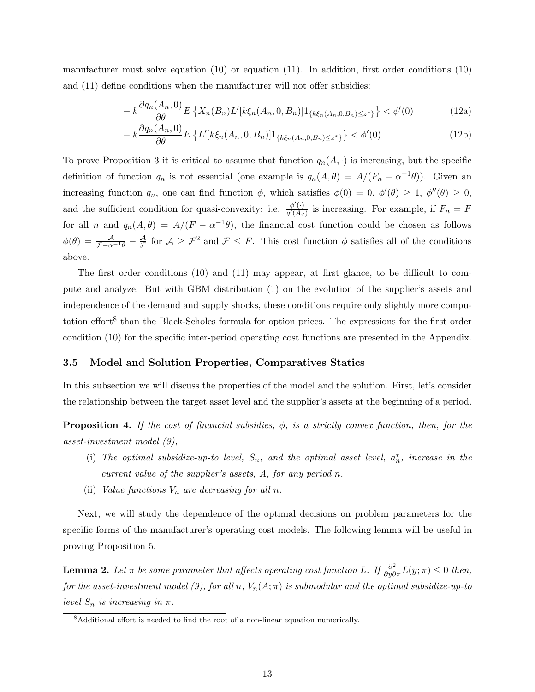manufacturer must solve equation (10) or equation (11). In addition, first order conditions (10) and (11) define conditions when the manufacturer will not offer subsidies:

$$
-k\frac{\partial q_n(A_n,0)}{\partial \theta} E\left\{X_n(B_n)L'[k\xi_n(A_n,0,B_n)]1_{\{k\xi_n(A_n,0,B_n)\leq z^*\}}\right\} < \phi'(0)
$$
(12a)

$$
-k\frac{\partial q_n(A_n,0)}{\partial \theta} E\left\{L'[k\xi_n(A_n,0,B_n)]1_{\{k\xi_n(A_n,0,B_n)\leq z^*\}}\right\} < \phi'(0)
$$
\n(12b)

To prove Proposition 3 it is critical to assume that function  $q_n(A, \cdot)$  is increasing, but the specific definition of function  $q_n$  is not essential (one example is  $q_n(A, \theta) = A/(F_n - \alpha^{-1}\theta)$ ). Given an increasing function  $q_n$ , one can find function  $\phi$ , which satisfies  $\phi(0) = 0$ ,  $\phi'(\theta) \geq 1$ ,  $\phi''(\theta) \geq 0$ , and the sufficient condition for quasi-convexity: i.e.  $\frac{\phi'(\cdot)}{\sigma'(A)}$  $\frac{\varphi(\cdot)}{q'(A,\cdot)}$  is increasing. For example, if  $F_n = F$ for all n and  $q_n(A, \theta) = A/(F - \alpha^{-1}\theta)$ , the financial cost function could be chosen as follows  $\phi(\theta) = \frac{\mathcal{A}}{\mathcal{F} - \alpha^{-1} \theta} - \frac{\mathcal{A}}{\mathcal{F}}$  $\frac{\mathcal{A}}{\mathcal{F}}$  for  $\mathcal{A} \geq \mathcal{F}^2$  and  $\mathcal{F} \leq F$ . This cost function  $\phi$  satisfies all of the conditions above.

The first order conditions (10) and (11) may appear, at first glance, to be difficult to compute and analyze. But with GBM distribution (1) on the evolution of the supplier's assets and independence of the demand and supply shocks, these conditions require only slightly more computation effort<sup>8</sup> than the Black-Scholes formula for option prices. The expressions for the first order condition (10) for the specific inter-period operating cost functions are presented in the Appendix.

### 3.5 Model and Solution Properties, Comparatives Statics

In this subsection we will discuss the properties of the model and the solution. First, let's consider the relationship between the target asset level and the supplier's assets at the beginning of a period.

**Proposition 4.** If the cost of financial subsidies,  $\phi$ , is a strictly convex function, then, for the asset-investment model (9),

- (i) The optimal subsidize-up-to level,  $S_n$ , and the optimal asset level,  $a_n^*$ , increase in the current value of the supplier's assets, A, for any period n.
- (ii) Value functions  $V_n$  are decreasing for all n.

Next, we will study the dependence of the optimal decisions on problem parameters for the specific forms of the manufacturer's operating cost models. The following lemma will be useful in proving Proposition 5.

**Lemma 2.** Let  $\pi$  be some parameter that affects operating cost function L. If  $\frac{\partial^2}{\partial y \partial \pi}L(y;\pi) \leq 0$  then, for the asset-investment model (9), for all n,  $V_n(A; \pi)$  is submodular and the optimal subsidize-up-to level  $S_n$  is increasing in  $\pi$ .

<sup>8</sup>Additional effort is needed to find the root of a non-linear equation numerically.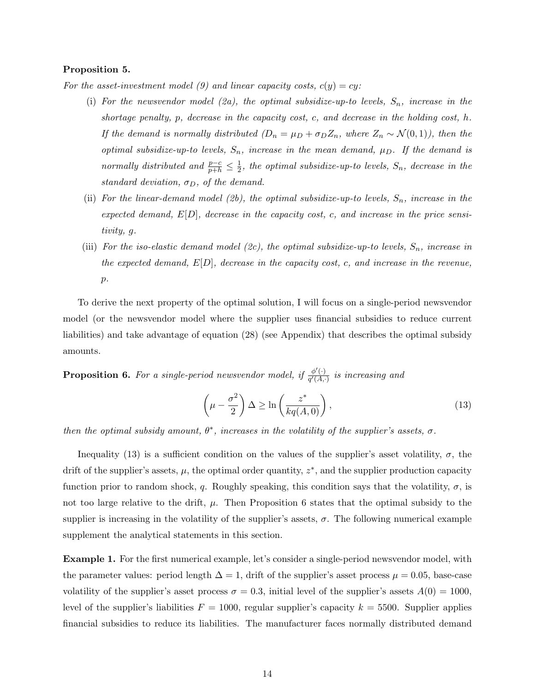#### Proposition 5.

For the asset-investment model (9) and linear capacity costs,  $c(y) = cy$ :

- (i) For the newsvendor model (2a), the optimal subsidize-up-to levels,  $S_n$ , increase in the shortage penalty,  $p$ , decrease in the capacity cost, c, and decrease in the holding cost, h. If the demand is normally distributed  $(D_n = \mu_D + \sigma_D Z_n$ , where  $Z_n \sim \mathcal{N}(0, 1)$ , then the optimal subsidize-up-to levels,  $S_n$ , increase in the mean demand,  $\mu_D$ . If the demand is normally distributed and  $\frac{p-c}{p+h} \leq \frac{1}{2}$  $\frac{1}{2}$ , the optimal subsidize-up-to levels,  $S_n$ , decrease in the standard deviation,  $\sigma_D$ , of the demand.
- (ii) For the linear-demand model (2b), the optimal subsidize-up-to levels,  $S_n$ , increase in the expected demand,  $E[D]$ , decrease in the capacity cost, c, and increase in the price sensitivity, g.
- (iii) For the iso-elastic demand model (2c), the optimal subsidize-up-to levels,  $S_n$ , increase in the expected demand,  $E[D]$ , decrease in the capacity cost, c, and increase in the revenue,  $p$ .

To derive the next property of the optimal solution, I will focus on a single-period newsvendor model (or the newsvendor model where the supplier uses financial subsidies to reduce current liabilities) and take advantage of equation (28) (see Appendix) that describes the optimal subsidy amounts.

**Proposition 6.** For a single-period newsvendor model, if  $\frac{\phi'(\cdot)}{\phi'(A)}$  $\frac{\varphi(\cdot)}{q'(A,\cdot)}$  is increasing and

$$
\left(\mu - \frac{\sigma^2}{2}\right)\Delta \ge \ln\left(\frac{z^*}{kq(A,0)}\right),\tag{13}
$$

then the optimal subsidy amount,  $\theta^*$ , increases in the volatility of the supplier's assets,  $\sigma$ .

Inequality (13) is a sufficient condition on the values of the supplier's asset volatility,  $\sigma$ , the drift of the supplier's assets,  $\mu$ , the optimal order quantity,  $z^*$ , and the supplier production capacity function prior to random shock, q. Roughly speaking, this condition says that the volatility,  $\sigma$ , is not too large relative to the drift,  $\mu$ . Then Proposition 6 states that the optimal subsidy to the supplier is increasing in the volatility of the supplier's assets,  $\sigma$ . The following numerical example supplement the analytical statements in this section.

Example 1. For the first numerical example, let's consider a single-period newsvendor model, with the parameter values: period length  $\Delta = 1$ , drift of the supplier's asset process  $\mu = 0.05$ , base-case volatility of the supplier's asset process  $\sigma = 0.3$ , initial level of the supplier's assets  $A(0) = 1000$ , level of the supplier's liabilities  $F = 1000$ , regular supplier's capacity  $k = 5500$ . Supplier applies financial subsidies to reduce its liabilities. The manufacturer faces normally distributed demand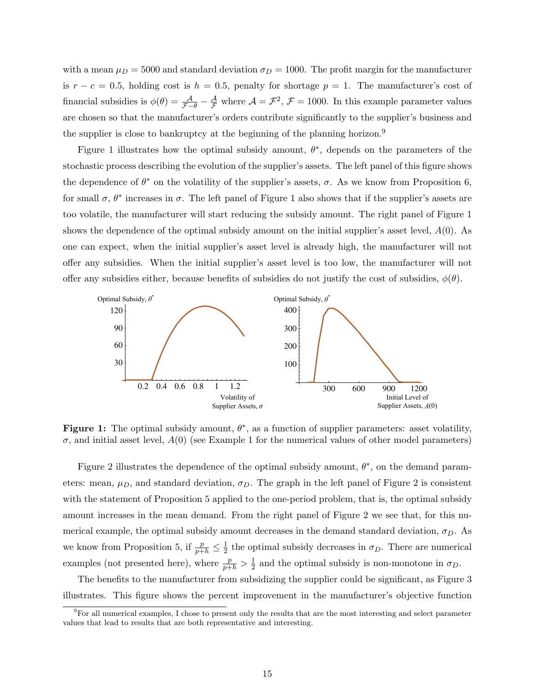with a mean  $\mu_D = 5000$  and standard deviation  $\sigma_D = 1000$ . The profit margin for the manufacturer is  $r - c = 0.5$ , holding cost is  $h = 0.5$ , penalty for shortage  $p = 1$ . The manufacturer's cost of financial subsidies is  $\phi(\theta) = \frac{\mathcal{A}}{\mathcal{F}-\theta} - \frac{\mathcal{A}}{\mathcal{F}}$  where  $\mathcal{A} = \mathcal{F}^2$ ,  $\mathcal{F} = 1000$ . In this example parameter values are chosen so that the manufacturer's orders contribute significantly to the supplier's business and the supplier is close to bankruptcy at the beginning of the planning horizon.<sup>9</sup>

Figure 1 illustrates how the optimal subsidy amount,  $\theta^*$ , depends on the parameters of the stochastic process describing the evolution of the supplier's assets. The left panel of this figure shows the dependence of  $\theta^*$  on the volatility of the supplier's assets,  $\sigma$ . As we know from Proposition 6, for small  $\sigma$ ,  $\theta^*$  increases in  $\sigma$ . The left panel of Figure 1 also shows that if the supplier's assets are too volatile, the manufacturer will start reducing the subsidy amount. The right panel of Figure 1 shows the dependence of the optimal subsidy amount on the initial supplier's asset level,  $A(0)$ . As one can expect, when the initial supplier's asset level is already high, the manufacturer will not offer any subsidies. When the initial supplier's asset level is too low, the manufacturer will not offer any subsidies either, because benefits of subsidies do not justify the cost of subsidies,  $\phi(\theta)$ .



Figure 1: The optimal subsidy amount,  $\theta^*$ , as a function of supplier parameters: asset volatility,  $\sigma$ , and initial asset level,  $A(0)$  (see Example 1 for the numerical values of other model parameters)

Figure 2 illustrates the dependence of the optimal subsidy amount,  $\theta^*$ , on the demand parameters: mean,  $\mu_D$ , and standard deviation,  $\sigma_D$ . The graph in the left panel of Figure 2 is consistent with the statement of Proposition 5 applied to the one-period problem, that is, the optimal subsidy amount increases in the mean demand. From the right panel of Figure 2 we see that, for this numerical example, the optimal subsidy amount decreases in the demand standard deviation,  $\sigma_D$ . As we know from Proposition 5, if  $\frac{p}{p+h} \leq \frac{1}{2}$  $\frac{1}{2}$  the optimal subsidy decreases in  $\sigma_D$ . There are numerical examples (not presented here), where  $\frac{p}{p+h} > \frac{1}{2}$  $\frac{1}{2}$  and the optimal subsidy is non-monotone in  $\sigma_D$ .

The benefits to the manufacturer from subsidizing the supplier could be significant, as Figure 3 illustrates. This figure shows the percent improvement in the manufacturer's objective function

<sup>9</sup>For all numerical examples, I chose to present only the results that are the most interesting and select parameter values that lead to results that are both representative and interesting.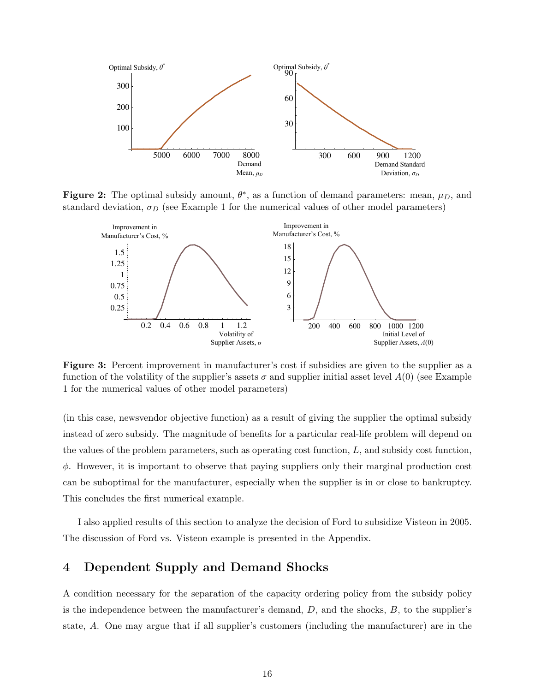

Figure 2: The optimal subsidy amount,  $\theta^*$ , as a function of demand parameters: mean,  $\mu_D$ , and standard deviation,  $\sigma_D$  (see Example 1 for the numerical values of other model parameters)



Figure 3: Percent improvement in manufacturer's cost if subsidies are given to the supplier as a function of the volatility of the supplier's assets  $\sigma$  and supplier initial asset level  $A(0)$  (see Example 1 for the numerical values of other model parameters)

(in this case, newsvendor objective function) as a result of giving the supplier the optimal subsidy instead of zero subsidy. The magnitude of benefits for a particular real-life problem will depend on the values of the problem parameters, such as operating cost function, L, and subsidy cost function,  $\phi$ . However, it is important to observe that paying suppliers only their marginal production cost can be suboptimal for the manufacturer, especially when the supplier is in or close to bankruptcy. This concludes the first numerical example.

I also applied results of this section to analyze the decision of Ford to subsidize Visteon in 2005. The discussion of Ford vs. Visteon example is presented in the Appendix.

### 4 Dependent Supply and Demand Shocks

A condition necessary for the separation of the capacity ordering policy from the subsidy policy is the independence between the manufacturer's demand,  $D$ , and the shocks,  $B$ , to the supplier's state, A. One may argue that if all supplier's customers (including the manufacturer) are in the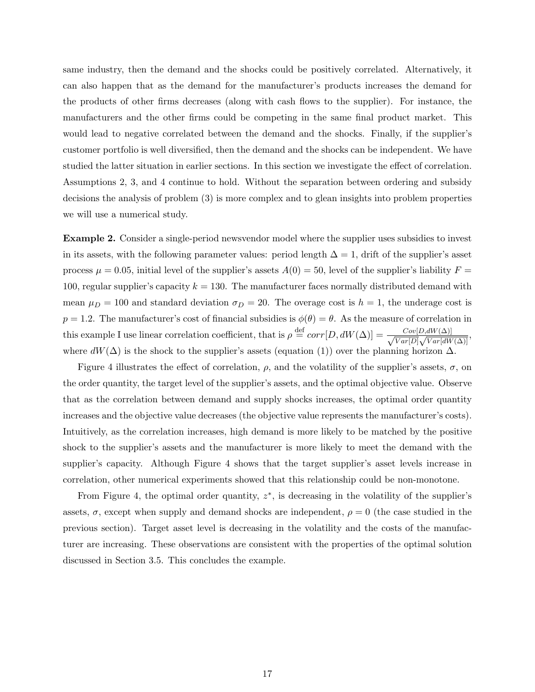same industry, then the demand and the shocks could be positively correlated. Alternatively, it can also happen that as the demand for the manufacturer's products increases the demand for the products of other firms decreases (along with cash flows to the supplier). For instance, the manufacturers and the other firms could be competing in the same final product market. This would lead to negative correlated between the demand and the shocks. Finally, if the supplier's customer portfolio is well diversified, then the demand and the shocks can be independent. We have studied the latter situation in earlier sections. In this section we investigate the effect of correlation. Assumptions 2, 3, and 4 continue to hold. Without the separation between ordering and subsidy decisions the analysis of problem (3) is more complex and to glean insights into problem properties we will use a numerical study.

Example 2. Consider a single-period newsvendor model where the supplier uses subsidies to invest in its assets, with the following parameter values: period length  $\Delta = 1$ , drift of the supplier's asset process  $\mu = 0.05$ , initial level of the supplier's assets  $A(0) = 50$ , level of the supplier's liability  $F =$ 100, regular supplier's capacity  $k = 130$ . The manufacturer faces normally distributed demand with mean  $\mu_D = 100$  and standard deviation  $\sigma_D = 20$ . The overage cost is  $h = 1$ , the underage cost is  $p = 1.2$ . The manufacturer's cost of financial subsidies is  $\phi(\theta) = \theta$ . As the measure of correlation in this example I use linear correlation coefficient, that is  $\rho \stackrel{\text{def}}{=} corr[D,dW(\Delta)] = \frac{Cov[D,dW(\Delta)]}{\sqrt{Cov[D,dW(\Delta)]}}$  $\frac{Cov[D,dW(\Delta)]}{Var[D]\sqrt{Var[dW(\Delta)]}}$ where  $dW(\Delta)$  is the shock to the supplier's assets (equation (1)) over the planning horizon  $\Delta$ .

Figure 4 illustrates the effect of correlation,  $\rho$ , and the volatility of the supplier's assets,  $\sigma$ , on the order quantity, the target level of the supplier's assets, and the optimal objective value. Observe that as the correlation between demand and supply shocks increases, the optimal order quantity increases and the objective value decreases (the objective value represents the manufacturer's costs). Intuitively, as the correlation increases, high demand is more likely to be matched by the positive shock to the supplier's assets and the manufacturer is more likely to meet the demand with the supplier's capacity. Although Figure 4 shows that the target supplier's asset levels increase in correlation, other numerical experiments showed that this relationship could be non-monotone.

From Figure 4, the optimal order quantity,  $z^*$ , is decreasing in the volatility of the supplier's assets,  $\sigma$ , except when supply and demand shocks are independent,  $\rho = 0$  (the case studied in the previous section). Target asset level is decreasing in the volatility and the costs of the manufacturer are increasing. These observations are consistent with the properties of the optimal solution discussed in Section 3.5. This concludes the example.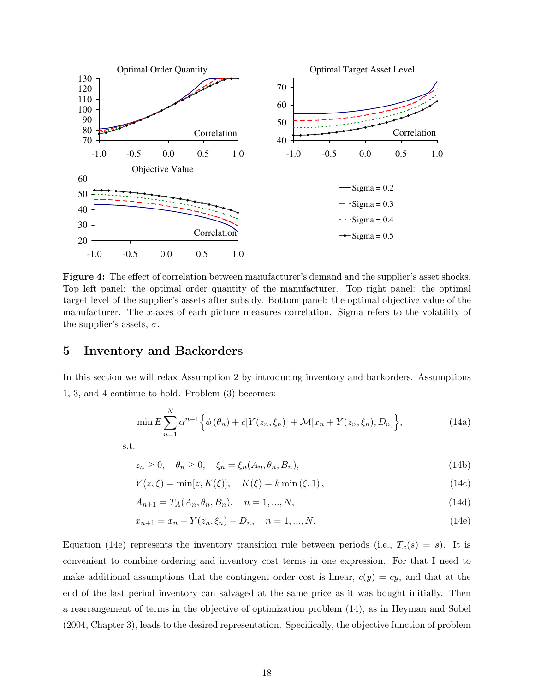

Figure 4: The effect of correlation between manufacturer's demand and the supplier's asset shocks. Top left panel: the optimal order quantity of the manufacturer. Top right panel: the optimal target level of the supplier's assets after subsidy. Bottom panel: the optimal objective value of the manufacturer. The x-axes of each picture measures correlation. Sigma refers to the volatility of the supplier's assets,  $\sigma$ .

### 5 Inventory and Backorders

In this section we will relax Assumption 2 by introducing inventory and backorders. Assumptions 1, 3, and 4 continue to hold. Problem (3) becomes:

$$
\min E \sum_{n=1}^{N} \alpha^{n-1} \Big\{ \phi(\theta_n) + c[Y(z_n, \xi_n)] + \mathcal{M}[x_n + Y(z_n, \xi_n), D_n] \Big\},
$$
\n(14a)

s.t.

$$
z_n \ge 0, \quad \theta_n \ge 0, \quad \xi_n = \xi_n(A_n, \theta_n, B_n), \tag{14b}
$$

$$
Y(z,\xi) = \min[z, K(\xi)], \quad K(\xi) = k \min(\xi, 1), \tag{14c}
$$

$$
A_{n+1} = T_A(A_n, \theta_n, B_n), \quad n = 1, ..., N,
$$
\n(14d)

$$
x_{n+1} = x_n + Y(z_n, \xi_n) - D_n, \quad n = 1, ..., N.
$$
\n(14e)

Equation (14e) represents the inventory transition rule between periods (i.e.,  $T_x(s) = s$ ). It is convenient to combine ordering and inventory cost terms in one expression. For that I need to make additional assumptions that the contingent order cost is linear,  $c(y) = cy$ , and that at the end of the last period inventory can salvaged at the same price as it was bought initially. Then a rearrangement of terms in the objective of optimization problem (14), as in Heyman and Sobel (2004, Chapter 3), leads to the desired representation. Specifically, the objective function of problem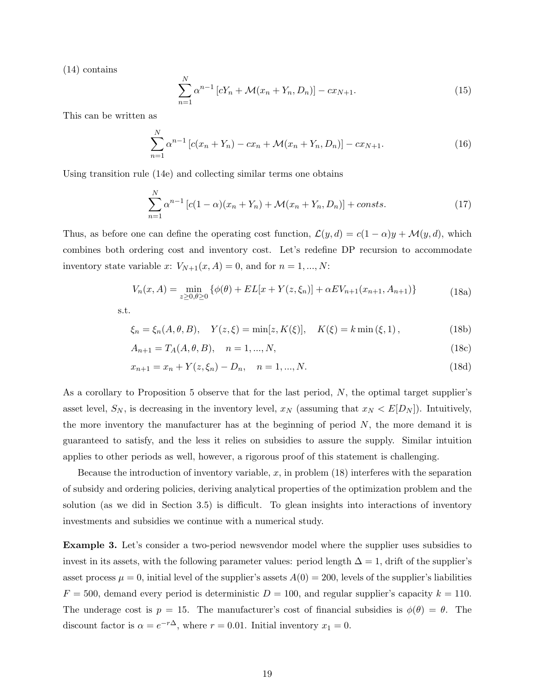(14) contains

$$
\sum_{n=1}^{N} \alpha^{n-1} \left[ cY_n + \mathcal{M}(x_n + Y_n, D_n) \right] - cx_{N+1}.
$$
 (15)

This can be written as

$$
\sum_{n=1}^{N} \alpha^{n-1} \left[ c(x_n + Y_n) - cx_n + \mathcal{M}(x_n + Y_n, D_n) \right] - cx_{N+1}.
$$
 (16)

Using transition rule (14e) and collecting similar terms one obtains

$$
\sum_{n=1}^{N} \alpha^{n-1} \left[ c(1-\alpha)(x_n + Y_n) + \mathcal{M}(x_n + Y_n, D_n) \right] + \text{consts.} \tag{17}
$$

Thus, as before one can define the operating cost function,  $\mathcal{L}(y, d) = c(1 - \alpha)y + \mathcal{M}(y, d)$ , which combines both ordering cost and inventory cost. Let's redefine DP recursion to accommodate inventory state variable x:  $V_{N+1}(x, A) = 0$ , and for  $n = 1, ..., N$ :

$$
V_n(x, A) = \min_{z \ge 0, \theta \ge 0} \{ \phi(\theta) + EL[x + Y(z, \xi_n)] + \alpha EV_{n+1}(x_{n+1}, A_{n+1}) \}
$$
(18a)

s.t.

$$
\xi_n = \xi_n(A, \theta, B), \quad Y(z, \xi) = \min[z, K(\xi)], \quad K(\xi) = k \min(\xi, 1), \tag{18b}
$$

$$
A_{n+1} = T_A(A, \theta, B), \quad n = 1, ..., N,
$$
\n(18c)

$$
x_{n+1} = x_n + Y(z, \xi_n) - D_n, \quad n = 1, ..., N.
$$
\n(18d)

As a corollary to Proposition 5 observe that for the last period, N, the optimal target supplier's asset level,  $S_N$ , is decreasing in the inventory level,  $x_N$  (assuming that  $x_N < E[D_N]$ ). Intuitively, the more inventory the manufacturer has at the beginning of period  $N$ , the more demand it is guaranteed to satisfy, and the less it relies on subsidies to assure the supply. Similar intuition applies to other periods as well, however, a rigorous proof of this statement is challenging.

Because the introduction of inventory variable,  $x$ , in problem (18) interferes with the separation of subsidy and ordering policies, deriving analytical properties of the optimization problem and the solution (as we did in Section 3.5) is difficult. To glean insights into interactions of inventory investments and subsidies we continue with a numerical study.

Example 3. Let's consider a two-period newsvendor model where the supplier uses subsidies to invest in its assets, with the following parameter values: period length  $\Delta = 1$ , drift of the supplier's asset process  $\mu = 0$ , initial level of the supplier's assets  $A(0) = 200$ , levels of the supplier's liabilities  $F = 500$ , demand every period is deterministic  $D = 100$ , and regular supplier's capacity  $k = 110$ . The underage cost is  $p = 15$ . The manufacturer's cost of financial subsidies is  $\phi(\theta) = \theta$ . The discount factor is  $\alpha = e^{-r\Delta}$ , where  $r = 0.01$ . Initial inventory  $x_1 = 0$ .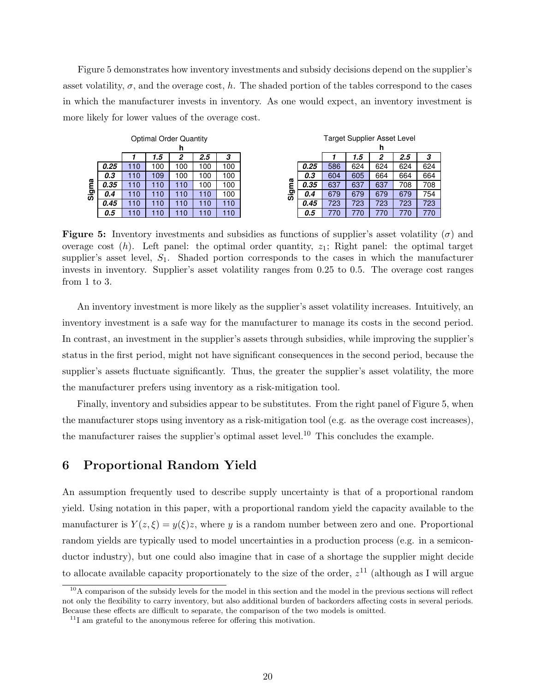Figure 5 demonstrates how inventory investments and subsidy decisions depend on the supplier's asset volatility,  $\sigma$ , and the overage cost, h. The shaded portion of the tables correspond to the cases in which the manufacturer invests in inventory. As one would expect, an inventory investment is more likely for lower values of the overage cost.

| Optimal Order Quantity |      |     |     |     |      |     | Target Supplier Asset Level |      |     |     |     |     |     |
|------------------------|------|-----|-----|-----|------|-----|-----------------------------|------|-----|-----|-----|-----|-----|
|                        | h    |     |     |     |      |     |                             |      | n   |     |     |     |     |
|                        |      |     | 5.، | 2   | 2.5  | 3   |                             |      |     | 1.5 | 2   | 2.5 | 3   |
| ω<br>Sig               | 0.25 | 10  | 100 | 100 | 100  | 100 | ω<br>္တ                     | 0.25 | 586 | 624 | 624 | 624 | 624 |
|                        | 0.3  | 110 | 109 | 100 | 100  | 100 |                             | 0.3  | 604 | 605 | 664 | 664 | 664 |
|                        | 0.35 | 10  | 10  | 110 | 00 ا | 100 |                             | 0.35 | 637 | 637 | 637 | 708 | 708 |
|                        | 0.4  | 10  | 10  | 110 | 10   | 100 |                             | 0.4  | 679 | 679 | 679 | 679 | 754 |
|                        | 0.45 | 10  | 10  | 110 | 10   | 110 |                             | 0.45 | 723 | 723 | 723 | 723 | 723 |
|                        | 0.5  | 10  | 10  | 110 | 10   | 110 |                             | 0.5  | 770 | 770 | 770 | 770 | 770 |

**Figure 5:** Inventory investments and subsidies as functions of supplier's asset volatility ( $\sigma$ ) and overage cost  $(h)$ . Left panel: the optimal order quantity,  $z_1$ ; Right panel: the optimal target supplier's asset level,  $S_1$ . Shaded portion corresponds to the cases in which the manufacturer invests in inventory. Supplier's asset volatility ranges from 0.25 to 0.5. The overage cost ranges from 1 to 3.

An inventory investment is more likely as the supplier's asset volatility increases. Intuitively, an inventory investment is a safe way for the manufacturer to manage its costs in the second period. In contrast, an investment in the supplier's assets through subsidies, while improving the supplier's status in the first period, might not have significant consequences in the second period, because the supplier's assets fluctuate significantly. Thus, the greater the supplier's asset volatility, the more the manufacturer prefers using inventory as a risk-mitigation tool.

Finally, inventory and subsidies appear to be substitutes. From the right panel of Figure 5, when the manufacturer stops using inventory as a risk-mitigation tool (e.g. as the overage cost increases), the manufacturer raises the supplier's optimal asset level.<sup>10</sup> This concludes the example.

### 6 Proportional Random Yield

An assumption frequently used to describe supply uncertainty is that of a proportional random yield. Using notation in this paper, with a proportional random yield the capacity available to the manufacturer is  $Y(z,\xi) = y(\xi)z$ , where y is a random number between zero and one. Proportional random yields are typically used to model uncertainties in a production process (e.g. in a semiconductor industry), but one could also imagine that in case of a shortage the supplier might decide to allocate available capacity proportionately to the size of the order,  $z^{11}$  (although as I will argue

 $10A$  comparison of the subsidy levels for the model in this section and the model in the previous sections will reflect not only the flexibility to carry inventory, but also additional burden of backorders affecting costs in several periods. Because these effects are difficult to separate, the comparison of the two models is omitted.

 $11$ I am grateful to the anonymous referee for offering this motivation.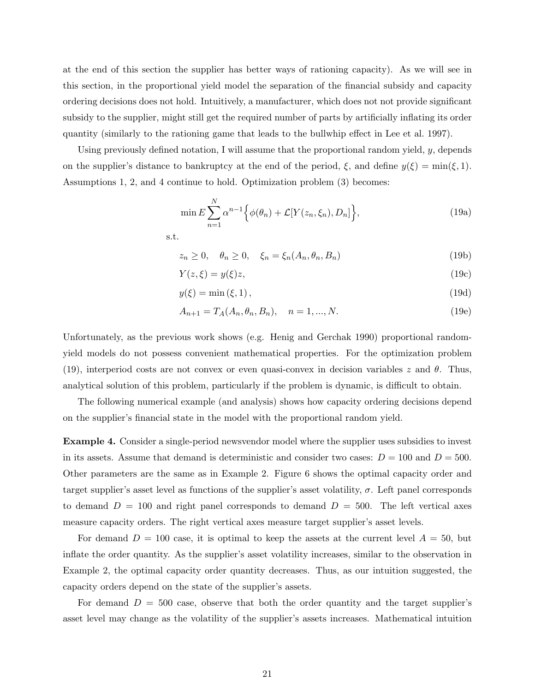at the end of this section the supplier has better ways of rationing capacity). As we will see in this section, in the proportional yield model the separation of the financial subsidy and capacity ordering decisions does not hold. Intuitively, a manufacturer, which does not not provide significant subsidy to the supplier, might still get the required number of parts by artificially inflating its order quantity (similarly to the rationing game that leads to the bullwhip effect in Lee et al. 1997).

Using previously defined notation, I will assume that the proportional random yield,  $y$ , depends on the supplier's distance to bankruptcy at the end of the period,  $\xi$ , and define  $y(\xi) = \min(\xi, 1)$ . Assumptions 1, 2, and 4 continue to hold. Optimization problem (3) becomes:

$$
\min E \sum_{n=1}^{N} \alpha^{n-1} \Big\{ \phi(\theta_n) + \mathcal{L}[Y(z_n, \xi_n), D_n] \Big\},\tag{19a}
$$

s.t.

$$
z_n \ge 0, \quad \theta_n \ge 0, \quad \xi_n = \xi_n(A_n, \theta_n, B_n)
$$
\n
$$
(19b)
$$

$$
Y(z,\xi) = y(\xi)z,\tag{19c}
$$

$$
y(\xi) = \min(\xi, 1),\tag{19d}
$$

$$
A_{n+1} = T_A(A_n, \theta_n, B_n), \quad n = 1, ..., N.
$$
 (19e)

Unfortunately, as the previous work shows (e.g. Henig and Gerchak 1990) proportional randomyield models do not possess convenient mathematical properties. For the optimization problem (19), interperiod costs are not convex or even quasi-convex in decision variables z and  $\theta$ . Thus, analytical solution of this problem, particularly if the problem is dynamic, is difficult to obtain.

The following numerical example (and analysis) shows how capacity ordering decisions depend on the supplier's financial state in the model with the proportional random yield.

Example 4. Consider a single-period newsvendor model where the supplier uses subsidies to invest in its assets. Assume that demand is deterministic and consider two cases:  $D = 100$  and  $D = 500$ . Other parameters are the same as in Example 2. Figure 6 shows the optimal capacity order and target supplier's asset level as functions of the supplier's asset volatility,  $\sigma$ . Left panel corresponds to demand  $D = 100$  and right panel corresponds to demand  $D = 500$ . The left vertical axes measure capacity orders. The right vertical axes measure target supplier's asset levels.

For demand  $D = 100$  case, it is optimal to keep the assets at the current level  $A = 50$ , but inflate the order quantity. As the supplier's asset volatility increases, similar to the observation in Example 2, the optimal capacity order quantity decreases. Thus, as our intuition suggested, the capacity orders depend on the state of the supplier's assets.

For demand  $D = 500$  case, observe that both the order quantity and the target supplier's asset level may change as the volatility of the supplier's assets increases. Mathematical intuition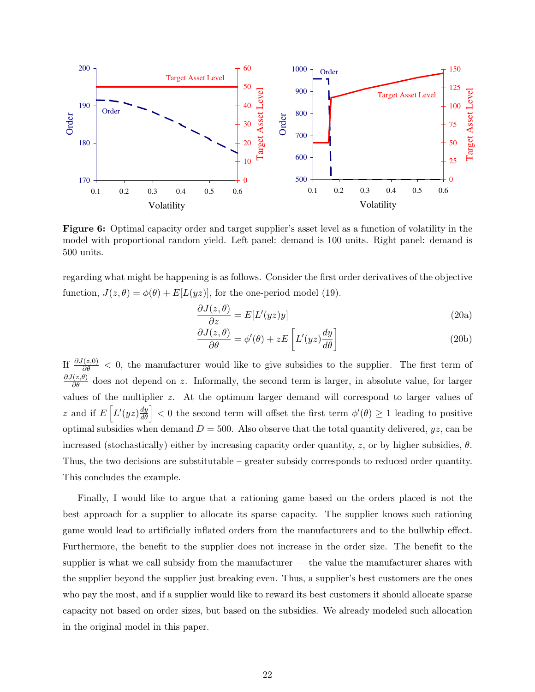

Figure 6: Optimal capacity order and target supplier's asset level as a function of volatility in the model with proportional random yield. Left panel: demand is 100 units. Right panel: demand is 500 units.

regarding what might be happening is as follows. Consider the first order derivatives of the objective function,  $J(z, \theta) = \phi(\theta) + E[L(yz)]$ , for the one-period model (19).

$$
\frac{\partial J(z,\theta)}{\partial z} = E[L'(yz)y]
$$
\n(20a)

$$
\frac{\partial J(z,\theta)}{\partial \theta} = \phi'(\theta) + zE\left[L'(yz)\frac{dy}{d\theta}\right]
$$
\n(20b)

If  $\frac{\partial J(z,0)}{\partial \theta} < 0$ , the manufacturer would like to give subsidies to the supplier. The first term of  $\frac{\partial J(z,\theta)}{\partial \theta}$  does not depend on z. Informally, the second term is larger, in absolute value, for larger values of the multiplier  $z$ . At the optimum larger demand will correspond to larger values of z and if  $E\left[L'(yz)\frac{dy}{d\theta}\right]$  $\left|\frac{dy}{d\theta}\right|$  < 0 the second term will offset the first term  $\phi'(\theta) \ge 1$  leading to positive optimal subsidies when demand  $D = 500$ . Also observe that the total quantity delivered,  $yz$ , can be increased (stochastically) either by increasing capacity order quantity, z, or by higher subsidies,  $\theta$ . Thus, the two decisions are substitutable – greater subsidy corresponds to reduced order quantity. This concludes the example.

Finally, I would like to argue that a rationing game based on the orders placed is not the best approach for a supplier to allocate its sparse capacity. The supplier knows such rationing game would lead to artificially inflated orders from the manufacturers and to the bullwhip effect. Furthermore, the benefit to the supplier does not increase in the order size. The benefit to the supplier is what we call subsidy from the manufacturer — the value the manufacturer shares with the supplier beyond the supplier just breaking even. Thus, a supplier's best customers are the ones who pay the most, and if a supplier would like to reward its best customers it should allocate sparse capacity not based on order sizes, but based on the subsidies. We already modeled such allocation in the original model in this paper.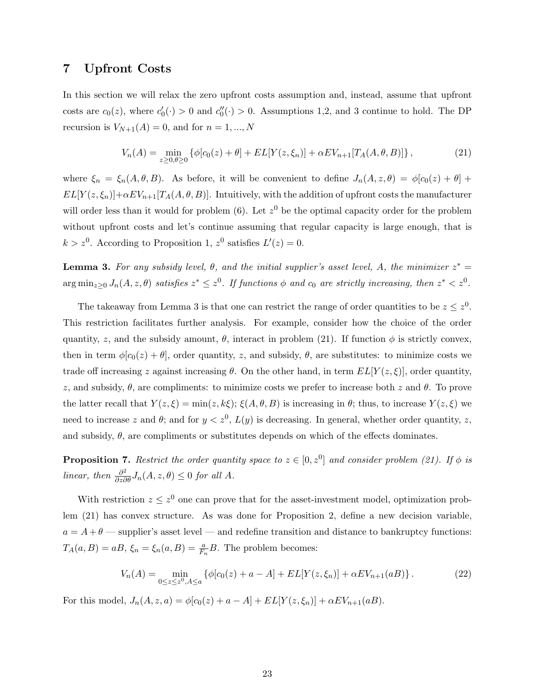### 7 Upfront Costs

In this section we will relax the zero upfront costs assumption and, instead, assume that upfront costs are  $c_0(z)$ , where  $c'_0(\cdot) > 0$  and  $c''_0(\cdot) > 0$ . Assumptions 1,2, and 3 continue to hold. The DP recursion is  $V_{N+1}(A) = 0$ , and for  $n = 1, ..., N$ 

$$
V_n(A) = \min_{z \ge 0, \theta \ge 0} \left\{ \phi[c_0(z) + \theta] + EL[Y(z, \xi_n)] + \alpha EV_{n+1}[T_A(A, \theta, B)] \right\},\tag{21}
$$

where  $\xi_n = \xi_n(A, \theta, B)$ . As before, it will be convenient to define  $J_n(A, z, \theta) = \phi[c_0(z) + \theta] +$  $EL[Y(z, \xi_n)] + \alpha EV_{n+1}[T_A(A, \theta, B)].$  Intuitively, with the addition of upfront costs the manufacturer will order less than it would for problem (6). Let  $z<sup>0</sup>$  be the optimal capacity order for the problem without upfront costs and let's continue assuming that regular capacity is large enough, that is  $k > z<sup>0</sup>$ . According to Proposition 1,  $z<sup>0</sup>$  satisfies  $L'(z) = 0$ .

**Lemma 3.** For any subsidy level,  $\theta$ , and the initial supplier's asset level, A, the minimizer  $z^* =$  $\arg \min_{z \geq 0} J_n(A, z, \theta)$  satisfies  $z^* \leq z^0$ . If functions  $\phi$  and  $c_0$  are strictly increasing, then  $z^* < z^0$ .

The takeaway from Lemma 3 is that one can restrict the range of order quantities to be  $z \leq z^0$ . This restriction facilitates further analysis. For example, consider how the choice of the order quantity, z, and the subsidy amount,  $\theta$ , interact in problem (21). If function  $\phi$  is strictly convex, then in term  $\phi[c_0(z) + \theta]$ , order quantity, z, and subsidy,  $\theta$ , are substitutes: to minimize costs we trade off increasing z against increasing  $\theta$ . On the other hand, in term  $EL[Y(z, \xi)]$ , order quantity, z, and subsidy,  $\theta$ , are compliments: to minimize costs we prefer to increase both z and  $\theta$ . To prove the latter recall that  $Y(z,\xi) = \min(z,k\xi); \xi(A,\theta,B)$  is increasing in  $\theta$ ; thus, to increase  $Y(z,\xi)$  we need to increase z and  $\theta$ ; and for  $y < z^0$ ,  $L(y)$  is decreasing. In general, whether order quantity, z, and subsidy,  $\theta$ , are compliments or substitutes depends on which of the effects dominates.

**Proposition 7.** Restrict the order quantity space to  $z \in [0, z^0]$  and consider problem (21). If  $\phi$  is linear, then  $\frac{\partial^2}{\partial z \partial \theta} J_n(A, z, \theta) \leq 0$  for all A.

With restriction  $z \leq z^0$  one can prove that for the asset-investment model, optimization problem (21) has convex structure. As was done for Proposition 2, define a new decision variable,  $a = A + \theta$  — supplier's asset level — and redefine transition and distance to bankruptcy functions:  $T_A(a, B) = aB, \xi_n = \xi_n(a, B) = \frac{a}{F_n}B$ . The problem becomes:

$$
V_n(A) = \min_{0 \le z \le z^0, A \le a} \left\{ \phi[c_0(z) + a - A] + EL[Y(z, \xi_n)] + \alpha EV_{n+1}(aB) \right\}.
$$
 (22)

For this model,  $J_n(A, z, a) = \phi[c_0(z) + a - A] + EL[Y(z, \xi_n)] + \alpha EV_{n+1}(aB)$ .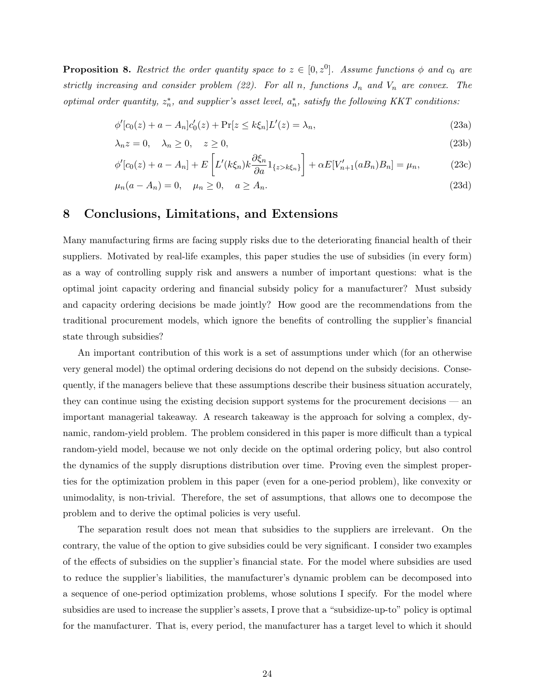**Proposition 8.** Restrict the order quantity space to  $z \in [0, z^0]$ . Assume functions  $\phi$  and  $c_0$  are strictly increasing and consider problem (22). For all n, functions  $J_n$  and  $V_n$  are convex. The optimal order quantity,  $z_n^*$ , and supplier's asset level,  $a_n^*$ , satisfy the following KKT conditions:

$$
\phi'[c_0(z) + a - A_n]c'_0(z) + \Pr[z \le k\xi_n]L'(z) = \lambda_n,
$$
\n(23a)

$$
\lambda_n z = 0, \quad \lambda_n \ge 0, \quad z \ge 0,
$$
\n<sup>(23b)</sup>

$$
\phi'[c_0(z) + a - A_n] + E\left[L'(k\xi_n)k\frac{\partial \xi_n}{\partial a}1_{\{z > k\xi_n\}}\right] + \alpha E[V'_{n+1}(aB_n)B_n] = \mu_n,
$$
\n(23c)

$$
\mu_n(a - A_n) = 0, \quad \mu_n \ge 0, \quad a \ge A_n. \tag{23d}
$$

### 8 Conclusions, Limitations, and Extensions

Many manufacturing firms are facing supply risks due to the deteriorating financial health of their suppliers. Motivated by real-life examples, this paper studies the use of subsidies (in every form) as a way of controlling supply risk and answers a number of important questions: what is the optimal joint capacity ordering and financial subsidy policy for a manufacturer? Must subsidy and capacity ordering decisions be made jointly? How good are the recommendations from the traditional procurement models, which ignore the benefits of controlling the supplier's financial state through subsidies?

An important contribution of this work is a set of assumptions under which (for an otherwise very general model) the optimal ordering decisions do not depend on the subsidy decisions. Consequently, if the managers believe that these assumptions describe their business situation accurately, they can continue using the existing decision support systems for the procurement decisions — an important managerial takeaway. A research takeaway is the approach for solving a complex, dynamic, random-yield problem. The problem considered in this paper is more difficult than a typical random-yield model, because we not only decide on the optimal ordering policy, but also control the dynamics of the supply disruptions distribution over time. Proving even the simplest properties for the optimization problem in this paper (even for a one-period problem), like convexity or unimodality, is non-trivial. Therefore, the set of assumptions, that allows one to decompose the problem and to derive the optimal policies is very useful.

The separation result does not mean that subsidies to the suppliers are irrelevant. On the contrary, the value of the option to give subsidies could be very significant. I consider two examples of the effects of subsidies on the supplier's financial state. For the model where subsidies are used to reduce the supplier's liabilities, the manufacturer's dynamic problem can be decomposed into a sequence of one-period optimization problems, whose solutions I specify. For the model where subsidies are used to increase the supplier's assets, I prove that a "subsidize-up-to" policy is optimal for the manufacturer. That is, every period, the manufacturer has a target level to which it should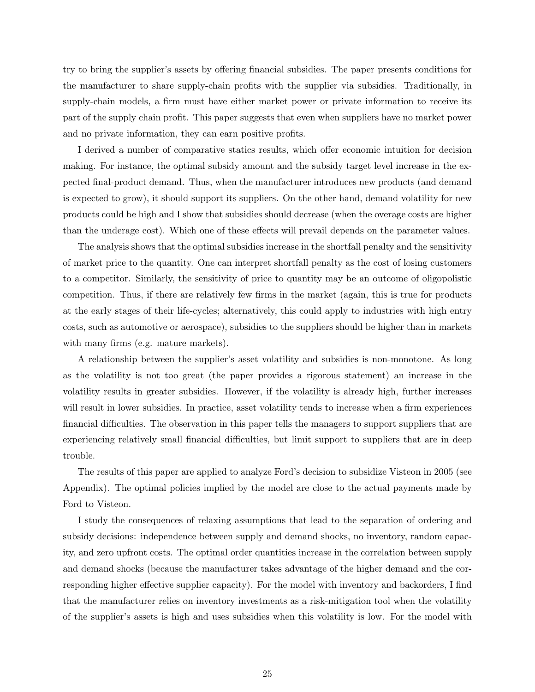try to bring the supplier's assets by offering financial subsidies. The paper presents conditions for the manufacturer to share supply-chain profits with the supplier via subsidies. Traditionally, in supply-chain models, a firm must have either market power or private information to receive its part of the supply chain profit. This paper suggests that even when suppliers have no market power and no private information, they can earn positive profits.

I derived a number of comparative statics results, which offer economic intuition for decision making. For instance, the optimal subsidy amount and the subsidy target level increase in the expected final-product demand. Thus, when the manufacturer introduces new products (and demand is expected to grow), it should support its suppliers. On the other hand, demand volatility for new products could be high and I show that subsidies should decrease (when the overage costs are higher than the underage cost). Which one of these effects will prevail depends on the parameter values.

The analysis shows that the optimal subsidies increase in the shortfall penalty and the sensitivity of market price to the quantity. One can interpret shortfall penalty as the cost of losing customers to a competitor. Similarly, the sensitivity of price to quantity may be an outcome of oligopolistic competition. Thus, if there are relatively few firms in the market (again, this is true for products at the early stages of their life-cycles; alternatively, this could apply to industries with high entry costs, such as automotive or aerospace), subsidies to the suppliers should be higher than in markets with many firms (e.g. mature markets).

A relationship between the supplier's asset volatility and subsidies is non-monotone. As long as the volatility is not too great (the paper provides a rigorous statement) an increase in the volatility results in greater subsidies. However, if the volatility is already high, further increases will result in lower subsidies. In practice, asset volatility tends to increase when a firm experiences financial difficulties. The observation in this paper tells the managers to support suppliers that are experiencing relatively small financial difficulties, but limit support to suppliers that are in deep trouble.

The results of this paper are applied to analyze Ford's decision to subsidize Visteon in 2005 (see Appendix). The optimal policies implied by the model are close to the actual payments made by Ford to Visteon.

I study the consequences of relaxing assumptions that lead to the separation of ordering and subsidy decisions: independence between supply and demand shocks, no inventory, random capacity, and zero upfront costs. The optimal order quantities increase in the correlation between supply and demand shocks (because the manufacturer takes advantage of the higher demand and the corresponding higher effective supplier capacity). For the model with inventory and backorders, I find that the manufacturer relies on inventory investments as a risk-mitigation tool when the volatility of the supplier's assets is high and uses subsidies when this volatility is low. For the model with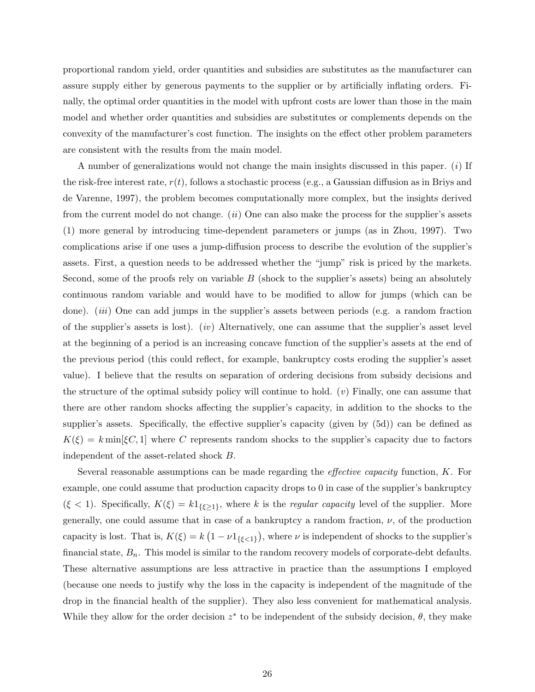proportional random yield, order quantities and subsidies are substitutes as the manufacturer can assure supply either by generous payments to the supplier or by artificially inflating orders. Finally, the optimal order quantities in the model with upfront costs are lower than those in the main model and whether order quantities and subsidies are substitutes or complements depends on the convexity of the manufacturer's cost function. The insights on the effect other problem parameters are consistent with the results from the main model.

A number of generalizations would not change the main insights discussed in this paper.  $(i)$  If the risk-free interest rate,  $r(t)$ , follows a stochastic process (e.g., a Gaussian diffusion as in Briys and de Varenne, 1997), the problem becomes computationally more complex, but the insights derived from the current model do not change.  $(ii)$  One can also make the process for the supplier's assets (1) more general by introducing time-dependent parameters or jumps (as in Zhou, 1997). Two complications arise if one uses a jump-diffusion process to describe the evolution of the supplier's assets. First, a question needs to be addressed whether the "jump" risk is priced by the markets. Second, some of the proofs rely on variable  $B$  (shock to the supplier's assets) being an absolutely continuous random variable and would have to be modified to allow for jumps (which can be done). *(iii)* One can add jumps in the supplier's assets between periods (e.g. a random fraction of the supplier's assets is lost). (iv) Alternatively, one can assume that the supplier's asset level at the beginning of a period is an increasing concave function of the supplier's assets at the end of the previous period (this could reflect, for example, bankruptcy costs eroding the supplier's asset value). I believe that the results on separation of ordering decisions from subsidy decisions and the structure of the optimal subsidy policy will continue to hold.  $(v)$  Finally, one can assume that there are other random shocks affecting the supplier's capacity, in addition to the shocks to the supplier's assets. Specifically, the effective supplier's capacity (given by (5d)) can be defined as  $K(\xi) = k \min[\xi C, 1]$  where C represents random shocks to the supplier's capacity due to factors independent of the asset-related shock B.

Several reasonable assumptions can be made regarding the effective capacity function, K. For example, one could assume that production capacity drops to 0 in case of the supplier's bankruptcy  $(\xi < 1)$ . Specifically,  $K(\xi) = k1_{\{\xi \geq 1\}}$ , where k is the *regular capacity* level of the supplier. More generally, one could assume that in case of a bankruptcy a random fraction,  $\nu$ , of the production capacity is lost. That is,  $K(\xi) = k$ ¡  $1 - \nu 1_{\{\xi < 1\}}$ ¢ , where  $\nu$  is independent of shocks to the supplier's financial state,  $B_n$ . This model is similar to the random recovery models of corporate-debt defaults. These alternative assumptions are less attractive in practice than the assumptions I employed (because one needs to justify why the loss in the capacity is independent of the magnitude of the drop in the financial health of the supplier). They also less convenient for mathematical analysis. While they allow for the order decision  $z^*$  to be independent of the subsidy decision,  $\theta$ , they make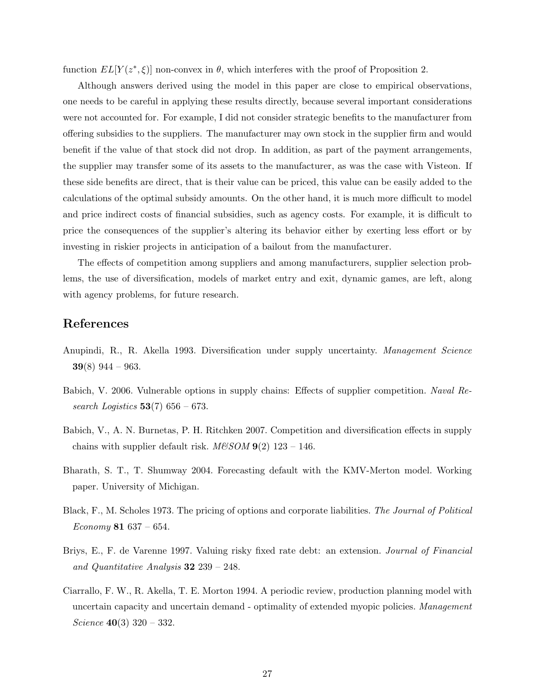function  $EL[Y(z^*, \xi)]$  non-convex in  $\theta$ , which interferes with the proof of Proposition 2.

Although answers derived using the model in this paper are close to empirical observations, one needs to be careful in applying these results directly, because several important considerations were not accounted for. For example, I did not consider strategic benefits to the manufacturer from offering subsidies to the suppliers. The manufacturer may own stock in the supplier firm and would benefit if the value of that stock did not drop. In addition, as part of the payment arrangements, the supplier may transfer some of its assets to the manufacturer, as was the case with Visteon. If these side benefits are direct, that is their value can be priced, this value can be easily added to the calculations of the optimal subsidy amounts. On the other hand, it is much more difficult to model and price indirect costs of financial subsidies, such as agency costs. For example, it is difficult to price the consequences of the supplier's altering its behavior either by exerting less effort or by investing in riskier projects in anticipation of a bailout from the manufacturer.

The effects of competition among suppliers and among manufacturers, supplier selection problems, the use of diversification, models of market entry and exit, dynamic games, are left, along with agency problems, for future research.

# References

- Anupindi, R., R. Akella 1993. Diversification under supply uncertainty. Management Science  $39(8)$  944 – 963.
- Babich, V. 2006. Vulnerable options in supply chains: Effects of supplier competition. Naval Research Logistics  $53(7)$  656 – 673.
- Babich, V., A. N. Burnetas, P. H. Ritchken 2007. Competition and diversification effects in supply chains with supplier default risk.  $M\&SOM$  9(2) 123 – 146.
- Bharath, S. T., T. Shumway 2004. Forecasting default with the KMV-Merton model. Working paper. University of Michigan.
- Black, F., M. Scholes 1973. The pricing of options and corporate liabilities. The Journal of Political Economy 81  $637 - 654$ .
- Briys, E., F. de Varenne 1997. Valuing risky fixed rate debt: an extension. Journal of Financial and Quantitative Analysis  $32\,239 - 248$ .
- Ciarrallo, F. W., R. Akella, T. E. Morton 1994. A periodic review, production planning model with uncertain capacity and uncertain demand - optimality of extended myopic policies. Management Science  $40(3)$  320 – 332.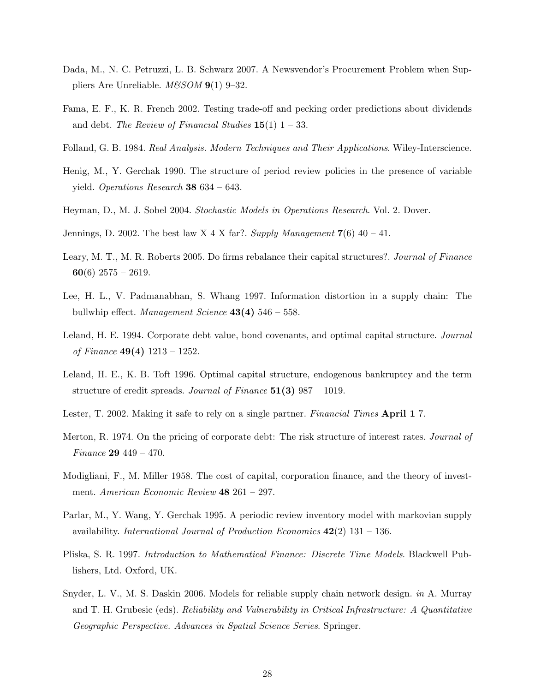- Dada, M., N. C. Petruzzi, L. B. Schwarz 2007. A Newsvendor's Procurement Problem when Suppliers Are Unreliable.  $M\&SOM$  **9**(1) 9–32.
- Fama, E. F., K. R. French 2002. Testing trade-off and pecking order predictions about dividends and debt. The Review of Financial Studies  $15(1)$  1 – 33.
- Folland, G. B. 1984. Real Analysis. Modern Techniques and Their Applications. Wiley-Interscience.
- Henig, M., Y. Gerchak 1990. The structure of period review policies in the presence of variable yield. Operations Research 38 634 – 643.
- Heyman, D., M. J. Sobel 2004. Stochastic Models in Operations Research. Vol. 2. Dover.
- Jennings, D. 2002. The best law X 4 X far?. Supply Management  $7(6)$  40 41.
- Leary, M. T., M. R. Roberts 2005. Do firms rebalance their capital structures?. Journal of Finance 60(6) 2575 – 2619.
- Lee, H. L., V. Padmanabhan, S. Whang 1997. Information distortion in a supply chain: The bullwhip effect. Management Science  $43(4)$  546 – 558.
- Leland, H. E. 1994. Corporate debt value, bond covenants, and optimal capital structure. Journal of Finance  $49(4)$  1213 – 1252.
- Leland, H. E., K. B. Toft 1996. Optimal capital structure, endogenous bankruptcy and the term structure of credit spreads. Journal of Finance 51(3) 987 – 1019.
- Lester, T. 2002. Making it safe to rely on a single partner. Financial Times April 1 7.
- Merton, R. 1974. On the pricing of corporate debt: The risk structure of interest rates. Journal of Finance 29 449 – 470.
- Modigliani, F., M. Miller 1958. The cost of capital, corporation finance, and the theory of investment. American Economic Review 48 261 – 297.
- Parlar, M., Y. Wang, Y. Gerchak 1995. A periodic review inventory model with markovian supply availability. International Journal of Production Economics  $42(2)$  131 – 136.
- Pliska, S. R. 1997. Introduction to Mathematical Finance: Discrete Time Models. Blackwell Publishers, Ltd. Oxford, UK.
- Snyder, L. V., M. S. Daskin 2006. Models for reliable supply chain network design. in A. Murray and T. H. Grubesic (eds). Reliability and Vulnerability in Critical Infrastructure: A Quantitative Geographic Perspective. Advances in Spatial Science Series. Springer.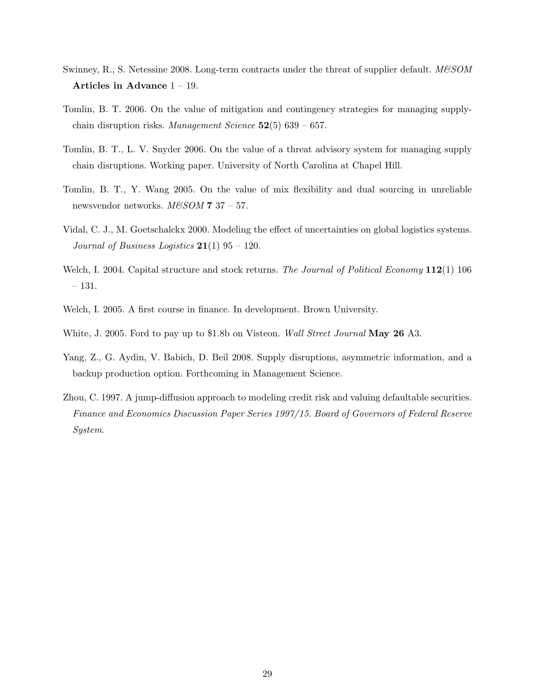- Swinney, R., S. Netessine 2008. Long-term contracts under the threat of supplier default.  $M\&SOM$ Articles in Advance 1 – 19.
- Tomlin, B. T. 2006. On the value of mitigation and contingency strategies for managing supplychain disruption risks. Management Science  $52(5)$  639 – 657.
- Tomlin, B. T., L. V. Snyder 2006. On the value of a threat advisory system for managing supply chain disruptions. Working paper. University of North Carolina at Chapel Hill.
- Tomlin, B. T., Y. Wang 2005. On the value of mix flexibility and dual sourcing in unreliable newsvendor networks.  $M\&SOM$  7 37 – 57.
- Vidal, C. J., M. Goetschalckx 2000. Modeling the effect of uncertainties on global logistics systems. Journal of Business Logistics  $21(1)$  95 – 120.
- Welch, I. 2004. Capital structure and stock returns. The Journal of Political Economy 112(1) 106 – 131.
- Welch, I. 2005. A first course in finance. In development. Brown University.
- White, J. 2005. Ford to pay up to \$1.8b on Visteon. *Wall Street Journal* **May 26** A3.
- Yang, Z., G. Aydin, V. Babich, D. Beil 2008. Supply disruptions, asymmetric information, and a backup production option. Forthcoming in Management Science.
- Zhou, C. 1997. A jump-diffusion approach to modeling credit risk and valuing defaultable securities. Finance and Economics Discussion Paper Series 1997/15. Board of Governors of Federal Reserve System.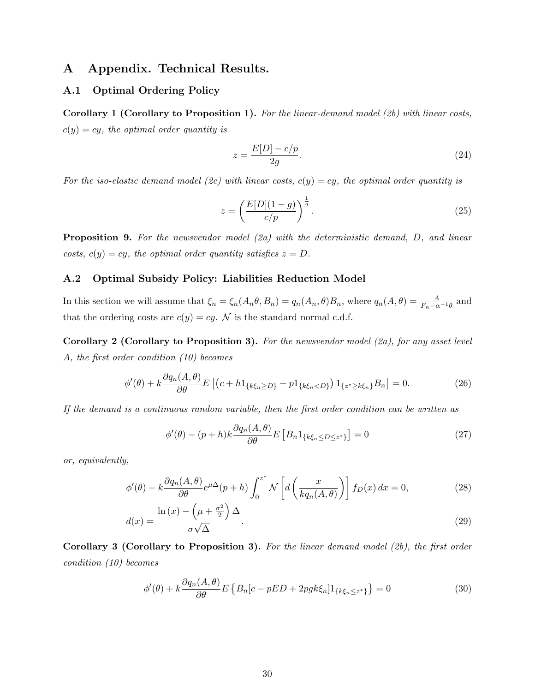# A Appendix. Technical Results.

### A.1 Optimal Ordering Policy

**Corollary 1 (Corollary to Proposition 1).** For the linear-demand model (2b) with linear costs,  $c(y) = cy$ , the optimal order quantity is

$$
z = \frac{E[D] - c/p}{2g}.\tag{24}
$$

For the iso-elastic demand model (2c) with linear costs,  $c(y) = cy$ , the optimal order quantity is

$$
z = \left(\frac{E[D](1-g)}{c/p}\right)^{\frac{1}{g}}.\tag{25}
$$

**Proposition 9.** For the newsvendor model  $(2a)$  with the deterministic demand, D, and linear costs,  $c(y) = cy$ , the optimal order quantity satisfies  $z = D$ .

### A.2 Optimal Subsidy Policy: Liabilities Reduction Model

In this section we will assume that  $\xi_n = \xi_n(A_n \theta, B_n) = q_n(A_n, \theta)B_n$ , where  $q_n(A, \theta) = \frac{A}{F_n - \alpha^{-1} \theta}$  and that the ordering costs are  $c(y) = cy$ . N is the standard normal c.d.f.

Corollary 2 (Corollary to Proposition 3). For the newsvendor model (2a), for any asset level A, the first order condition (10) becomes

$$
\phi'(\theta) + k \frac{\partial q_n(A, \theta)}{\partial \theta} E \left[ \left( c + h \mathbb{1}_{\{k \xi_n \ge D\}} - p \mathbb{1}_{\{k \xi_n < D\}} \right) \mathbb{1}_{\{z^* \ge k \xi_n\}} B_n \right] = 0. \tag{26}
$$

If the demand is a continuous random variable, then the first order condition can be written as

$$
\phi'(\theta) - (p+h)k \frac{\partial q_n(A, \theta)}{\partial \theta} E\left[B_n 1_{\{k\xi_n \le D \le z^*\}}\right] = 0
$$
\n(27)

or, equivalently,

$$
\phi'(\theta) - k \frac{\partial q_n(A, \theta)}{\partial \theta} e^{\mu \Delta} (p + h) \int_0^{z^*} \mathcal{N} \left[ d \left( \frac{x}{k q_n(A, \theta)} \right) \right] f_D(x) dx = 0,
$$
\n
$$
\ln(x) - \left( \mu + \frac{\sigma^2}{2} \right) \Delta
$$
\n(28)

$$
d(x) = \frac{\ln(x) - \left(\mu + \frac{\sigma^2}{2}\right)\Delta}{\sigma\sqrt{\Delta}}.\tag{29}
$$

Corollary 3 (Corollary to Proposition 3). For the linear demand model (2b), the first order condition (10) becomes

$$
\phi'(\theta) + k \frac{\partial q_n(A, \theta)}{\partial \theta} E \left\{ B_n[c - pED + 2pgk\xi_n] 1_{\{k\xi_n \le z^*\}} \right\} = 0
$$
\n(30)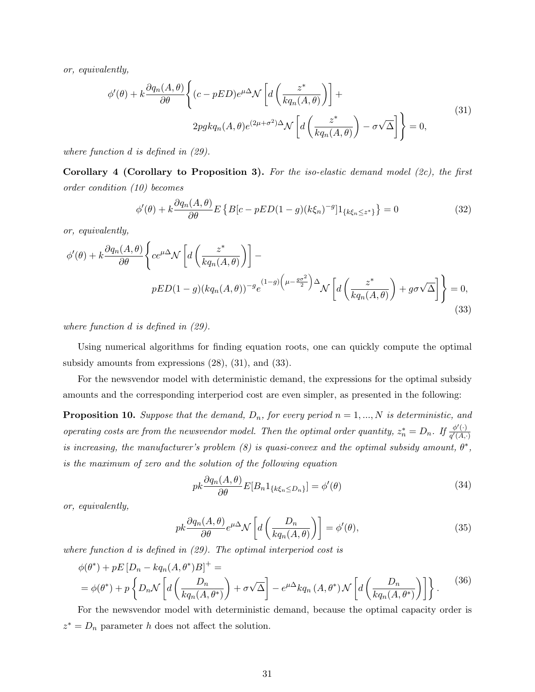or, equivalently,

$$
\phi'(\theta) + k \frac{\partial q_n(A, \theta)}{\partial \theta} \left\{ (c - pED)e^{\mu \Delta} \mathcal{N} \left[ d \left( \frac{z^*}{k q_n(A, \theta)} \right) \right] + 2p g k q_n(A, \theta) e^{(2\mu + \sigma^2) \Delta} \mathcal{N} \left[ d \left( \frac{z^*}{k q_n(A, \theta)} \right) - \sigma \sqrt{\Delta} \right] \right\} = 0,
$$
\n(31)

where function d is defined in (29).

Corollary 4 (Corollary to Proposition 3). For the iso-elastic demand model  $(2c)$ , the first order condition (10) becomes

$$
\phi'(\theta) + k \frac{\partial q_n(A, \theta)}{\partial \theta} E \left\{ B[c - pED(1 - g)(k\xi_n)^{-g}] 1_{\{k\xi_n \le z^*\}} \right\} = 0
$$
\n(32)

or, equivalently,

$$
\phi'(\theta) + k \frac{\partial q_n(A, \theta)}{\partial \theta} \left\{ ce^{\mu \Delta} \mathcal{N} \left[ d \left( \frac{z^*}{k q_n(A, \theta)} \right) \right] - pED(1 - g)(k q_n(A, \theta))^{-g} e^{(1 - g) \left( \mu - \frac{g \sigma^2}{2} \right) \Delta} \mathcal{N} \left[ d \left( \frac{z^*}{k q_n(A, \theta)} \right) + g \sigma \sqrt{\Delta} \right] \right\} = 0,
$$
\n(33)

where function d is defined in (29).

Using numerical algorithms for finding equation roots, one can quickly compute the optimal subsidy amounts from expressions (28), (31), and (33).

For the newsvendor model with deterministic demand, the expressions for the optimal subsidy amounts and the corresponding interperiod cost are even simpler, as presented in the following:

**Proposition 10.** Suppose that the demand,  $D_n$ , for every period  $n = 1, ..., N$  is deterministic, and operating costs are from the newsvendor model. Then the optimal order quantity,  $z_n^* = D_n$ . If  $\frac{\phi'(\cdot)}{q'(A)}$ .  $q'(A,\cdot)$ is increasing, the manufacturer's problem (8) is quasi-convex and the optimal subsidy amount,  $\theta^*$ , is the maximum of zero and the solution of the following equation

$$
pk\frac{\partial q_n(A,\theta)}{\partial \theta}E[B_n 1_{\{k\xi_n \le D_n\}}] = \phi'(\theta)
$$
\n(34)

or, equivalently,

$$
pk\frac{\partial q_n(A,\theta)}{\partial \theta}e^{\mu\Delta} \mathcal{N}\left[d\left(\frac{D_n}{kq_n(A,\theta)}\right)\right] = \phi'(\theta),\tag{35}
$$

where function d is defined in (29). The optimal interperiod cost is

$$
\phi(\theta^*) + pE[D_n - kq_n(A, \theta^*)B]^+ =
$$
  
=  $\phi(\theta^*) + p \left\{ D_n \mathcal{N} \left[ d \left( \frac{D_n}{kq_n(A, \theta^*)} \right) + \sigma \sqrt{\Delta} \right] - e^{\mu \Delta} kq_n(A, \theta^*) \mathcal{N} \left[ d \left( \frac{D_n}{kq_n(A, \theta^*)} \right) \right] \right\}.$  (36)

For the newsvendor model with deterministic demand, because the optimal capacity order is  $z^* = D_n$  parameter h does not affect the solution.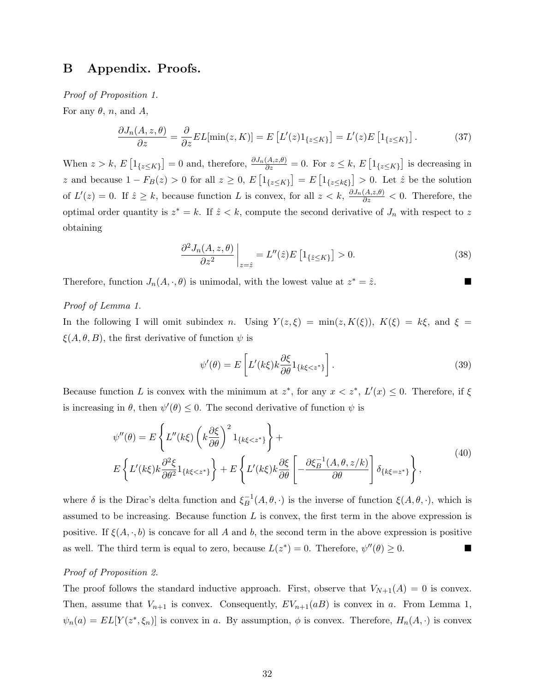# B Appendix. Proofs.

Proof of Proposition 1.

For any  $\theta$ , n, and A,

$$
\frac{\partial J_n(A, z, \theta)}{\partial z} = \frac{\partial}{\partial z} EL[\min(z, K)] = E\left[L'(z)1_{\{z \le K\}}\right] = L'(z)E\left[1_{\{z \le K\}}\right].\tag{37}
$$

When  $z > k$ , E £  $1_{\{z\leq K\}}$ ] = 0 and, therefore,  $\frac{\partial J_n(A,z,\theta)}{\partial z} = 0$ . For  $z \leq k, E$ £  $1_{\{z\leq K\}}$ l<br>E is decreasing in z and because  $1 - F_B(z) > 0$  for all  $z \geq 0$ , E £  $1_{\{z\leq K\}}$ ¤  $=$  E £  $1_{\{z\leq k\xi\}}$  $\frac{1}{1}$  $> 0$ . Let  $\hat{z}$  be the solution of  $L'(z) = 0$ . If  $\hat{z} \geq k$ , because function L is convex, for all  $z < k$ ,  $\frac{\partial J_n(A,z,\theta)}{\partial z} < 0$ . Therefore, the optimal order quantity is  $z^* = k$ . If  $\hat{z} < k$ , compute the second derivative of  $J_n$  with respect to z obtaining

$$
\frac{\partial^2 J_n(A, z, \theta)}{\partial z^2} \bigg|_{z=\hat{z}} = L''(\hat{z}) E\left[1_{\{\hat{z}\leq K\}}\right] > 0. \tag{38}
$$

Therefore, function  $J_n(A, \cdot, \theta)$  is unimodal, with the lowest value at  $z^* = \hat{z}$ .

### Proof of Lemma 1.

In the following I will omit subindex n. Using  $Y(z,\xi) = \min(z, K(\xi))$ ,  $K(\xi) = k\xi$ , and  $\xi =$  $\xi(A, \theta, B)$ , the first derivative of function  $\psi$  is

$$
\psi'(\theta) = E\left[L'(k\xi)k\frac{\partial \xi}{\partial \theta}1_{\{k\xi < z^*\}}\right].\tag{39}
$$

Because function L is convex with the minimum at  $z^*$ , for any  $x < z^*$ ,  $L'(x) \leq 0$ . Therefore, if  $\xi$ is increasing in  $\theta$ , then  $\psi'(\theta) \leq 0$ . The second derivative of function  $\psi$  is

$$
\psi''(\theta) = E\left\{ L''(k\xi) \left( k \frac{\partial \xi}{\partial \theta} \right)^2 1_{\{k\xi < z^*\}} \right\} +
$$
\n
$$
E\left\{ L'(k\xi) k \frac{\partial^2 \xi}{\partial \theta^2} 1_{\{k\xi < z^*\}} \right\} + E\left\{ L'(k\xi) k \frac{\partial \xi}{\partial \theta} \left[ -\frac{\partial \xi_B^{-1}(A, \theta, z/k)}{\partial \theta} \right] \delta_{\{k\xi = z^*\}} \right\},
$$
\n
$$
(40)
$$

where  $\delta$  is the Dirac's delta function and  $\xi_R^{-1}$  $_B^{-1}(A, \theta, \cdot)$  is the inverse of function  $\xi(A, \theta, \cdot)$ , which is assumed to be increasing. Because function  $L$  is convex, the first term in the above expression is positive. If  $\xi(A, \cdot, b)$  is concave for all A and b, the second term in the above expression is positive as well. The third term is equal to zero, because  $L(z^*) = 0$ . Therefore,  $\psi''(\theta) \geq 0$ .

#### Proof of Proposition 2.

The proof follows the standard inductive approach. First, observe that  $V_{N+1}(A) = 0$  is convex. Then, assume that  $V_{n+1}$  is convex. Consequently,  $EV_{n+1}(aB)$  is convex in a. From Lemma 1,  $\psi_n(a) = EL[Y(z^*, \xi_n)]$  is convex in a. By assumption,  $\phi$  is convex. Therefore,  $H_n(A, \cdot)$  is convex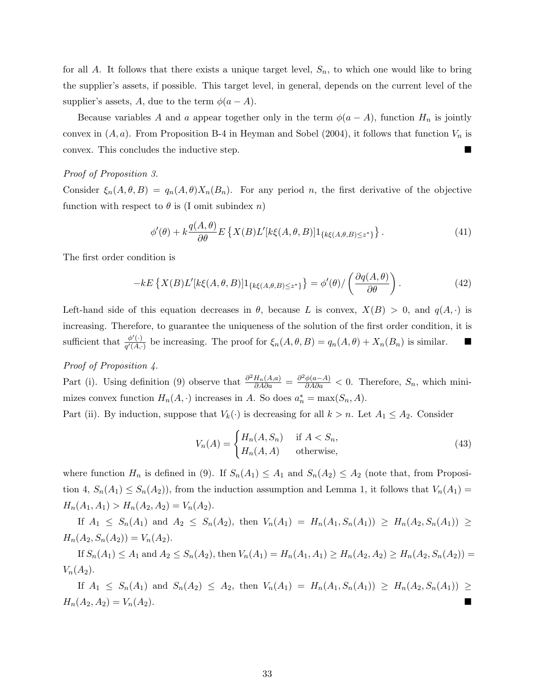for all A. It follows that there exists a unique target level,  $S_n$ , to which one would like to bring the supplier's assets, if possible. This target level, in general, depends on the current level of the supplier's assets, A, due to the term  $\phi(a-A)$ .

Because variables A and a appear together only in the term  $\phi(a-A)$ , function  $H_n$  is jointly convex in  $(A, a)$ . From Proposition B-4 in Heyman and Sobel (2004), it follows that function  $V_n$  is convex. This concludes the inductive step.

### Proof of Proposition 3.

Consider  $\xi_n(A, \theta, B) = q_n(A, \theta) X_n(B_n)$ . For any period n, the first derivative of the objective function with respect to  $\theta$  is (I omit subindex n)

$$
\phi'(\theta) + k \frac{q(A,\theta)}{\partial \theta} E\left\{ X(B)L'[k\xi(A,\theta,B)]1_{\{k\xi(A,\theta,B)\leq z^*\}} \right\}.
$$
\n(41)

The first order condition is

$$
-kE\left\{X(B)L'[k\xi(A,\theta,B)]1_{\{k\xi(A,\theta,B)\leq z^*\}}\right\} = \phi'(\theta)/\left(\frac{\partial q(A,\theta)}{\partial \theta}\right). \tag{42}
$$

Left-hand side of this equation decreases in  $\theta$ , because L is convex,  $X(B) > 0$ , and  $q(A, \cdot)$  is increasing. Therefore, to guarantee the uniqueness of the solution of the first order condition, it is sufficient that  $\frac{\phi'(\cdot)}{\phi'(\Lambda)}$  $\frac{\varphi(\cdot)}{q'(A,\cdot)}$  be increasing. The proof for  $\xi_n(A,\theta,B) = q_n(A,\theta) + X_n(B_n)$  is similar.

#### Proof of Proposition 4.

Part (i). Using definition (9) observe that  $\frac{\partial^2 H_n(A,a)}{\partial A \partial a} = \frac{\partial^2 \phi(a-A)}{\partial A \partial a} < 0$ . Therefore,  $S_n$ , which minimizes convex function  $H_n(A, \cdot)$  increases in A. So does  $a_n^* = \max(S_n, A)$ .

Part (ii). By induction, suppose that  $V_k(\cdot)$  is decreasing for all  $k > n$ . Let  $A_1 \leq A_2$ . Consider

$$
V_n(A) = \begin{cases} H_n(A, S_n) & \text{if } A < S_n, \\ H_n(A, A) & \text{otherwise,} \end{cases} \tag{43}
$$

where function  $H_n$  is defined in (9). If  $S_n(A_1) \leq A_1$  and  $S_n(A_2) \leq A_2$  (note that, from Proposition 4,  $S_n(A_1) \leq S_n(A_2)$ , from the induction assumption and Lemma 1, it follows that  $V_n(A_1)$  $H_n(A_1, A_1) > H_n(A_2, A_2) = V_n(A_2).$ 

If  $A_1 \leq S_n(A_1)$  and  $A_2 \leq S_n(A_2)$ , then  $V_n(A_1) = H_n(A_1, S_n(A_1)) \geq H_n(A_2, S_n(A_1)) \geq$  $H_n(A_2, S_n(A_2)) = V_n(A_2).$ 

If  $S_n(A_1) \leq A_1$  and  $A_2 \leq S_n(A_2)$ , then  $V_n(A_1) = H_n(A_1, A_1) \geq H_n(A_2, A_2) \geq H_n(A_2, S_n(A_2)) =$  $V_n(A_2)$ .

If  $A_1 \leq S_n(A_1)$  and  $S_n(A_2) \leq A_2$ , then  $V_n(A_1) = H_n(A_1, S_n(A_1)) \geq H_n(A_2, S_n(A_1)) \geq$  $H_n(A_2, A_2) = V_n(A_2).$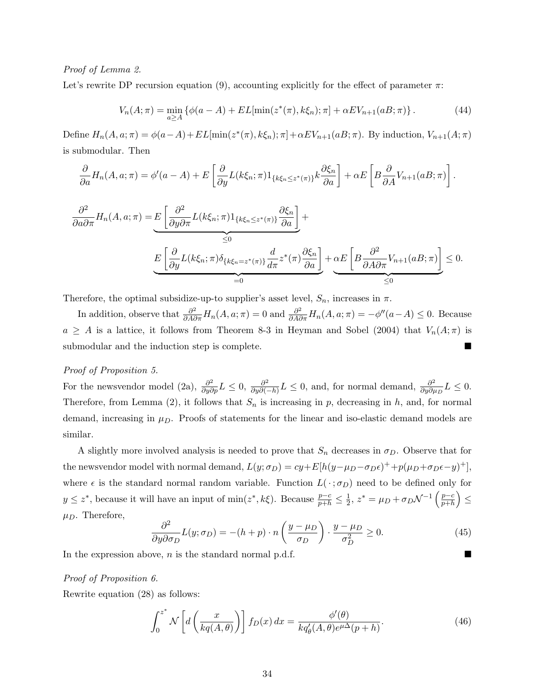#### Proof of Lemma 2.

Let's rewrite DP recursion equation (9), accounting explicitly for the effect of parameter  $\pi$ :

$$
V_n(A; \pi) = \min_{a \ge A} \{ \phi(a - A) + EL[\min(z^*(\pi), k\xi_n); \pi] + \alpha EV_{n+1}(aB; \pi) \}.
$$
 (44)

Define  $H_n(A, a; \pi) = \phi(a-A) + EL[\min(z^*(\pi), k\xi_n); \pi] + \alpha EV_{n+1}(aB; \pi)$ . By induction,  $V_{n+1}(A; \pi)$ is submodular. Then

$$
\frac{\partial}{\partial a}H_n(A, a; \pi) = \phi'(a - A) + E\left[\frac{\partial}{\partial y}L(k\xi_n; \pi)1_{\{k\xi_n \le z^*(\pi)\}}k\frac{\partial \xi_n}{\partial a}\right] + \alpha E\left[B\frac{\partial}{\partial A}V_{n+1}(aB; \pi)\right].
$$
\n
$$
\frac{\partial^2}{\partial a \partial \pi}H_n(A, a; \pi) = E\left[\frac{\partial^2}{\partial y \partial \pi}L(k\xi_n; \pi)1_{\{k\xi_n \le z^*(\pi)\}}\frac{\partial \xi_n}{\partial a}\right] + \frac{\alpha E\left[B\frac{\partial^2}{\partial A \partial \pi}V_{n+1}(aB; \pi)\right]}{\le 0}
$$
\n
$$
E\left[\frac{\partial}{\partial y}L(k\xi_n; \pi)\delta_{\{k\xi_n = z^*(\pi)\}}\frac{d}{d\pi}z^*(\pi)\frac{\partial \xi_n}{\partial a}\right] + \alpha E\left[B\frac{\partial^2}{\partial A \partial \pi}V_{n+1}(aB; \pi)\right] \le 0.
$$

Therefore, the optimal subsidize-up-to supplier's asset level,  $S_n$ , increases in  $\pi$ .

In addition, observe that  $\frac{\partial^2}{\partial A \partial \pi} H_n(A, a; \pi) = 0$  and  $\frac{\partial^2}{\partial A \partial \pi} H_n(A, a; \pi) = -\phi''(a-A) \leq 0$ . Because  $a \geq A$  is a lattice, it follows from Theorem 8-3 in Heyman and Sobel (2004) that  $V_n(A;\pi)$  is submodular and the induction step is complete.

#### Proof of Proposition 5.

For the newsvendor model (2a),  $\frac{\partial^2}{\partial y \partial p} L \leq 0$ ,  $\frac{\partial^2}{\partial y \partial \cdot \partial \cdot}$  $\frac{\partial^2}{\partial y\partial(-h)}L\leq 0$ , and, for normal demand,  $\frac{\partial^2}{\partial y\partial p}$  $\frac{\partial^2}{\partial y \partial \mu_D} L \leq 0.$ Therefore, from Lemma (2), it follows that  $S_n$  is increasing in p, decreasing in h, and, for normal demand, increasing in  $\mu_D$ . Proofs of statements for the linear and iso-elastic demand models are similar.

A slightly more involved analysis is needed to prove that  $S_n$  decreases in  $\sigma_D$ . Observe that for the newsvendor model with normal demand,  $L(y; \sigma_D) = cy + E[h(y - \mu_D - \sigma_D \epsilon)^+ + p(\mu_D + \sigma_D \epsilon - y)^+]$ , where  $\epsilon$  is the standard normal random variable. Function  $L(\cdot; \sigma_D)$  need to be defined only for  $y \leq z^*$ , because it will have an input of min $(z^*, k\xi)$ . Because  $\frac{p-c}{p+h} \leq \frac{1}{2}$  $\frac{1}{2}$ ,  $z^* = \mu_D + \sigma_D \mathcal{N}^{-1} \left( \frac{p-c}{p+h} \right)$  $\frac{p-c}{p+h}$ )  $\leq$  $\mu_D$ . Therefore,  $\overline{a}$  $\mathbf{r}$ 

$$
\frac{\partial^2}{\partial y \partial \sigma_D} L(y; \sigma_D) = -(h+p) \cdot n \left( \frac{y-\mu_D}{\sigma_D} \right) \cdot \frac{y-\mu_D}{\sigma_D^2} \ge 0. \tag{45}
$$

In the expression above,  $n$  is the standard normal p.d.f.

### Proof of Proposition 6.

Rewrite equation (28) as follows:

$$
\int_0^{z^*} \mathcal{N}\left[ d\left(\frac{x}{kq(A,\theta)}\right) \right] f_D(x) dx = \frac{\phi'(\theta)}{kq'_{\theta}(A,\theta)e^{\mu\Delta}(p+h)}.
$$
\n(46)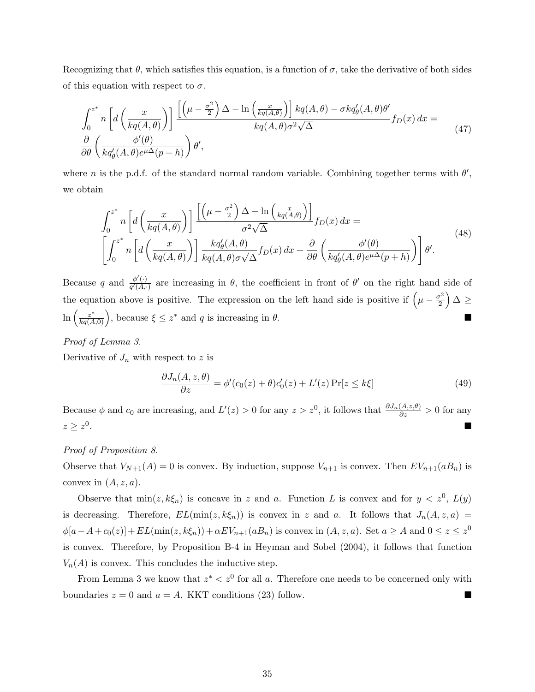Recognizing that  $\theta$ , which satisfies this equation, is a function of  $\sigma$ , take the derivative of both sides of this equation with respect to  $\sigma$ .

$$
\int_0^{z^*} n \left[ d \left( \frac{x}{kq(A,\theta)} \right) \right] \frac{\left[ \left( \mu - \frac{\sigma^2}{2} \right) \Delta - \ln \left( \frac{x}{kq(A,\theta)} \right) \right] kq(A,\theta) - \sigma k q'_{\theta}(A,\theta) \theta'}{kq(A,\theta)\sigma^2 \sqrt{\Delta}} f_D(x) dx =
$$
\n
$$
\frac{\partial}{\partial \theta} \left( \frac{\phi'(\theta)}{kq'_{\theta}(A,\theta)e^{\mu\Delta}(p+h)} \right) \theta',
$$
\n(47)

where n is the p.d.f. of the standard normal random variable. Combining together terms with  $\theta'$ , we obtain

$$
\int_0^{z^*} n \left[ d \left( \frac{x}{kq(A,\theta)} \right) \right] \frac{\left[ \left( \mu - \frac{\sigma^2}{2} \right) \Delta - \ln \left( \frac{x}{kq(A,\theta)} \right) \right]}{\sigma^2 \sqrt{\Delta}} f_D(x) dx =
$$
\n
$$
\left[ \int_0^{z^*} n \left[ d \left( \frac{x}{kq(A,\theta)} \right) \right] \frac{kq'_{\theta}(A,\theta)}{kq(A,\theta)\sigma\sqrt{\Delta}} f_D(x) dx + \frac{\partial}{\partial \theta} \left( \frac{\phi'(\theta)}{kq'_{\theta}(A,\theta)e^{\mu\Delta}(p+h)} \right) \right] \theta'.
$$
\n(48)

Because q and  $\frac{\phi'(\cdot)}{\phi'(A)}$  $\frac{\phi'(\cdot)}{q'(A,\cdot)}$  are increasing in  $\theta$ , the coefficient in front of  $\theta'$  on the right hand side of the equation above is positive. The expression on the left hand side is positive if  $\left(\mu - \frac{\sigma^2}{2}\right)$  $\left(\frac{r^2}{2}\right)\Delta \geq$  $\ln \left( \frac{z^*}{\ln \left( A \right)} \right)$  $\frac{z^*}{kq(A,0)}$ ), because  $\xi \leq z^*$  and q is increasing in  $\theta$ .

#### Proof of Lemma 3.

Derivative of  $J_n$  with respect to z is

$$
\frac{\partial J_n(A, z, \theta)}{\partial z} = \phi'(c_0(z) + \theta)c'_0(z) + L'(z)\Pr[z \le k\xi]
$$
\n(49)

Because  $\phi$  and  $c_0$  are increasing, and  $L'(z) > 0$  for any  $z > z^0$ , it follows that  $\frac{\partial J_n(A,z,\theta)}{\partial z} > 0$  for any  $z\geq z^0$ . As a set of the set of the set of the set of the set of the set of the set of the set of the set of the set of the set of the set of the set of the set of the set of the set of the set of the set of the set of the set o

#### Proof of Proposition 8.

Observe that  $V_{N+1}(A) = 0$  is convex. By induction, suppose  $V_{n+1}$  is convex. Then  $EV_{n+1}(aB_n)$  is convex in  $(A, z, a)$ .

Observe that  $min(z, k\xi_n)$  is concave in z and a. Function L is convex and for  $y < z^0$ ,  $L(y)$ is decreasing. Therefore,  $EL(\min(z, k\xi_n))$  is convex in z and a. It follows that  $J_n(A, z, a)$  $\phi[a-A+c_0(z)] + EL(\min(z, k\xi_n)) + \alpha EV_{n+1}(aB_n)$  is convex in  $(A, z, a)$ . Set  $a \ge A$  and  $0 \le z \le z^0$ is convex. Therefore, by Proposition B-4 in Heyman and Sobel (2004), it follows that function  $V_n(A)$  is convex. This concludes the inductive step.

From Lemma 3 we know that  $z^* < z^0$  for all a. Therefore one needs to be concerned only with boundaries  $z = 0$  and  $a = A$ . KKT conditions (23) follow.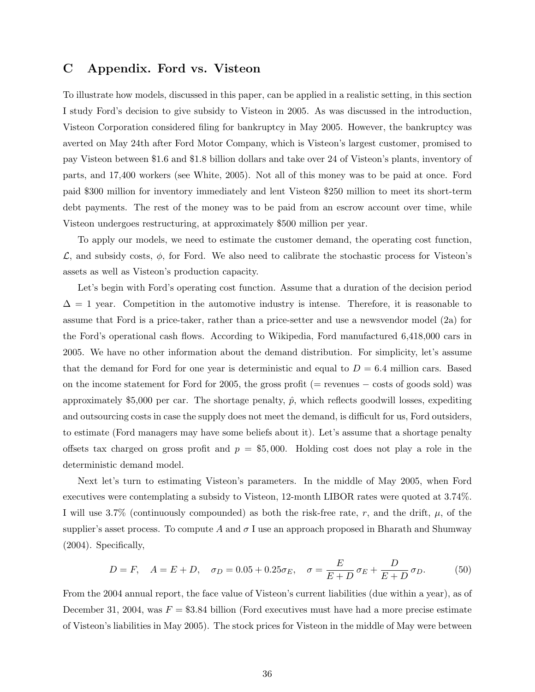### C Appendix. Ford vs. Visteon

To illustrate how models, discussed in this paper, can be applied in a realistic setting, in this section I study Ford's decision to give subsidy to Visteon in 2005. As was discussed in the introduction, Visteon Corporation considered filing for bankruptcy in May 2005. However, the bankruptcy was averted on May 24th after Ford Motor Company, which is Visteon's largest customer, promised to pay Visteon between \$1.6 and \$1.8 billion dollars and take over 24 of Visteon's plants, inventory of parts, and 17,400 workers (see White, 2005). Not all of this money was to be paid at once. Ford paid \$300 million for inventory immediately and lent Visteon \$250 million to meet its short-term debt payments. The rest of the money was to be paid from an escrow account over time, while Visteon undergoes restructuring, at approximately \$500 million per year.

To apply our models, we need to estimate the customer demand, the operating cost function,  $\mathcal{L}$ , and subsidy costs,  $\phi$ , for Ford. We also need to calibrate the stochastic process for Visteon's assets as well as Visteon's production capacity.

Let's begin with Ford's operating cost function. Assume that a duration of the decision period  $\Delta = 1$  year. Competition in the automotive industry is intense. Therefore, it is reasonable to assume that Ford is a price-taker, rather than a price-setter and use a newsvendor model (2a) for the Ford's operational cash flows. According to Wikipedia, Ford manufactured 6,418,000 cars in 2005. We have no other information about the demand distribution. For simplicity, let's assume that the demand for Ford for one year is deterministic and equal to  $D = 6.4$  million cars. Based on the income statement for Ford for 2005, the gross profit (= revenues − costs of goods sold) was approximately \$5,000 per car. The shortage penalty,  $\hat{p}$ , which reflects goodwill losses, expediting and outsourcing costs in case the supply does not meet the demand, is difficult for us, Ford outsiders, to estimate (Ford managers may have some beliefs about it). Let's assume that a shortage penalty offsets tax charged on gross profit and  $p = $5,000$ . Holding cost does not play a role in the deterministic demand model.

Next let's turn to estimating Visteon's parameters. In the middle of May 2005, when Ford executives were contemplating a subsidy to Visteon, 12-month LIBOR rates were quoted at 3.74%. I will use 3.7% (continuously compounded) as both the risk-free rate, r, and the drift,  $\mu$ , of the supplier's asset process. To compute A and  $\sigma$  I use an approach proposed in Bharath and Shumway (2004). Specifically,

$$
D = F
$$
,  $A = E + D$ ,  $\sigma_D = 0.05 + 0.25\sigma_E$ ,  $\sigma = \frac{E}{E + D} \sigma_E + \frac{D}{E + D} \sigma_D$ . (50)

From the 2004 annual report, the face value of Visteon's current liabilities (due within a year), as of December 31, 2004, was  $F = $3.84$  billion (Ford executives must have had a more precise estimate of Visteon's liabilities in May 2005). The stock prices for Visteon in the middle of May were between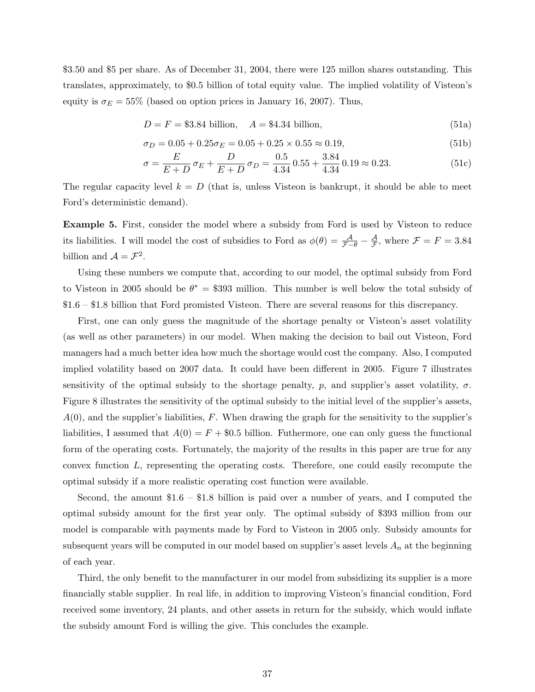\$3.50 and \$5 per share. As of December 31, 2004, there were 125 millon shares outstanding. This translates, approximately, to \$0.5 billion of total equity value. The implied volatility of Visteon's equity is  $\sigma_E = 55\%$  (based on option prices in January 16, 2007). Thus,

$$
D = F = $3.84 \text{ billion}, \quad A = $4.34 \text{ billion}, \tag{51a}
$$

$$
\sigma_D = 0.05 + 0.25 \sigma_E = 0.05 + 0.25 \times 0.55 \approx 0.19,\tag{51b}
$$

$$
\sigma = \frac{E}{E+D} \,\sigma_E + \frac{D}{E+D} \,\sigma_D = \frac{0.5}{4.34} \, 0.55 + \frac{3.84}{4.34} \, 0.19 \approx 0.23. \tag{51c}
$$

The regular capacity level  $k = D$  (that is, unless Visteon is bankrupt, it should be able to meet Ford's deterministic demand).

Example 5. First, consider the model where a subsidy from Ford is used by Visteon to reduce its liabilities. I will model the cost of subsidies to Ford as  $\phi(\theta) = \frac{\mathcal{A}}{\mathcal{F}-\theta} - \frac{\mathcal{A}}{\mathcal{F}}$  $\frac{\mathcal{A}}{\mathcal{F}}$ , where  $\mathcal{F} = F = 3.84$ billion and  $\mathcal{A} = \mathcal{F}^2$ .

Using these numbers we compute that, according to our model, the optimal subsidy from Ford to Visteon in 2005 should be  $\theta^* = $393$  million. This number is well below the total subsidy of \$1.6 – \$1.8 billion that Ford promisted Visteon. There are several reasons for this discrepancy.

First, one can only guess the magnitude of the shortage penalty or Visteon's asset volatility (as well as other parameters) in our model. When making the decision to bail out Visteon, Ford managers had a much better idea how much the shortage would cost the company. Also, I computed implied volatility based on 2007 data. It could have been different in 2005. Figure 7 illustrates sensitivity of the optimal subsidy to the shortage penalty, p, and supplier's asset volatility,  $\sigma$ . Figure 8 illustrates the sensitivity of the optimal subsidy to the initial level of the supplier's assets,  $A(0)$ , and the supplier's liabilities, F. When drawing the graph for the sensitivity to the supplier's liabilities, I assumed that  $A(0) = F + $0.5$  billion. Futhermore, one can only guess the functional form of the operating costs. Fortunately, the majority of the results in this paper are true for any convex function L, representing the operating costs. Therefore, one could easily recompute the optimal subsidy if a more realistic operating cost function were available.

Second, the amount \$1.6 – \$1.8 billion is paid over a number of years, and I computed the optimal subsidy amount for the first year only. The optimal subsidy of \$393 million from our model is comparable with payments made by Ford to Visteon in 2005 only. Subsidy amounts for subsequent years will be computed in our model based on supplier's asset levels  $A_n$  at the beginning of each year.

Third, the only benefit to the manufacturer in our model from subsidizing its supplier is a more financially stable supplier. In real life, in addition to improving Visteon's financial condition, Ford received some inventory, 24 plants, and other assets in return for the subsidy, which would inflate the subsidy amount Ford is willing the give. This concludes the example.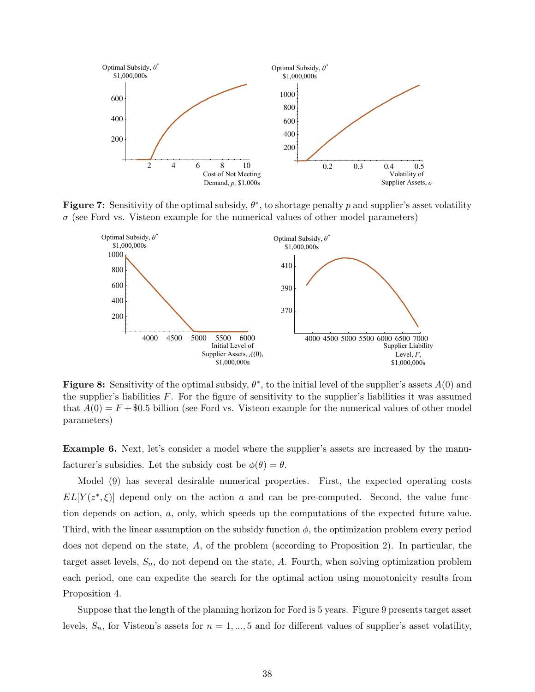

Figure 7: Sensitivity of the optimal subsidy,  $\theta^*$ , to shortage penalty p and supplier's asset volatility  $\sigma$  (see Ford vs. Visteon example for the numerical values of other model parameters)



Figure 8: Sensitivity of the optimal subsidy,  $\theta^*$ , to the initial level of the supplier's assets  $A(0)$  and the supplier's liabilities  $F$ . For the figure of sensitivity to the supplier's liabilities it was assumed that  $A(0) = F + $0.5$  billion (see Ford vs. Visteon example for the numerical values of other model parameters)

Example 6. Next, let's consider a model where the supplier's assets are increased by the manufacturer's subsidies. Let the subsidy cost be  $\phi(\theta) = \theta$ .

Model (9) has several desirable numerical properties. First, the expected operating costs  $EL[Y(z^*,\xi)]$  depend only on the action a and can be pre-computed. Second, the value function depends on action, a, only, which speeds up the computations of the expected future value. Third, with the linear assumption on the subsidy function  $\phi$ , the optimization problem every period does not depend on the state, A, of the problem (according to Proposition 2). In particular, the target asset levels,  $S_n$ , do not depend on the state, A. Fourth, when solving optimization problem each period, one can expedite the search for the optimal action using monotonicity results from Proposition 4.

Suppose that the length of the planning horizon for Ford is 5 years. Figure 9 presents target asset levels,  $S_n$ , for Visteon's assets for  $n = 1, ..., 5$  and for different values of supplier's asset volatility,